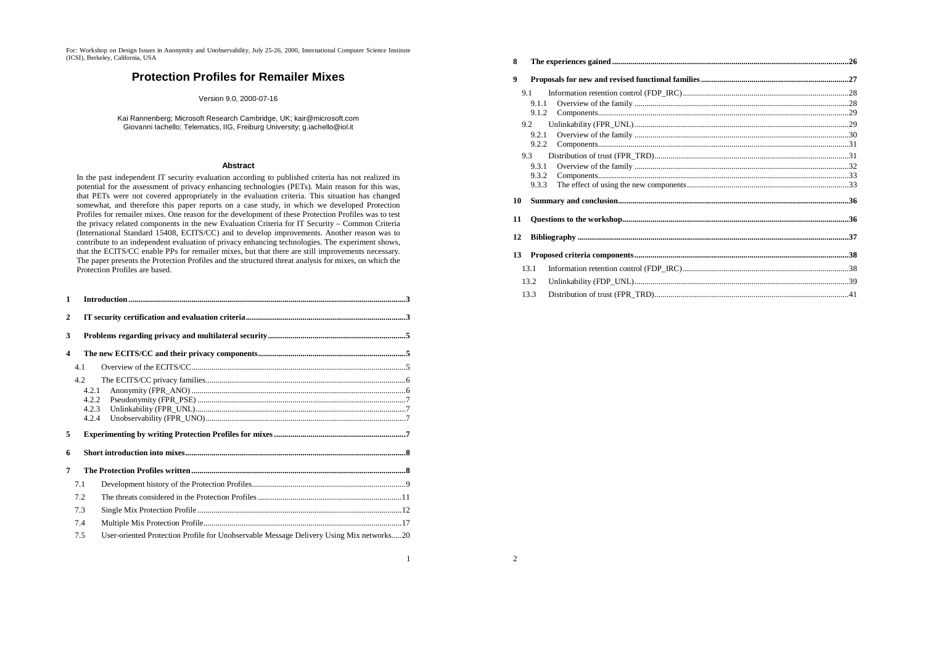For: Workshop on Design Issues in Anonymity and Unobservability, July 25-26, 2000, International Computer Science Institute (ICSI), Berkeley, California, USA

# **Protection Profiles for Remailer Mixes**

Version 9.0, 2000-07-16

Kai Rannenberg; Microsoft Research Cambridge, UK; kair@microsoft.com Giovanni Iachello; Telematics, IIG, Freiburg University; g.iachello@iol.it

#### **Abstract**

In the pas<sup>t</sup> independent IT security evaluation according to published criteria has not realized its potential for the assessment of privacy enhancing technologies (PETs). Main reason for this was, that PETs were not covered appropriately in the evaluation criteria. This situation has changed somewhat, and therefore this paper reports on <sup>a</sup> case study, in which we developed Protection Profiles for remailer mixes. One reason for the development of these Protection Profiles was to test the privacy related components in the new Evaluation Criteria for IT Security – Common Criteria (International Standard 15408, ECITS/CC) and to develop improvements. Another reason was to contribute to an independent evaluation of privacy enhancing technologies. The experiment shows, that the ECITS/CC enable PPs for remailer mixes, but that there are still improvements necessary. The paper presents the Protection Profiles and the structured threat analysis for mixes, on which the Protection Profiles are based.

| $\mathbf{1}$   |       |  |
|----------------|-------|--|
| $\overline{2}$ |       |  |
| 3              |       |  |
| 4              |       |  |
|                | 4.1   |  |
|                | 4.2   |  |
|                | 4.2.1 |  |
|                | 4.2.2 |  |
|                | 4.2.3 |  |
|                | 4.2.4 |  |
| 5              |       |  |
| 6              |       |  |
|                |       |  |
| 7              |       |  |
|                | 7.1   |  |
|                | 7.2   |  |
|                | 7.3   |  |
|                | 7.4   |  |

| 8  |       |  |
|----|-------|--|
| 9  |       |  |
|    | 9.1   |  |
|    | 9.1.1 |  |
|    | 9.1.2 |  |
|    | 9.2   |  |
|    | 9.2.1 |  |
|    | 9.2.2 |  |
|    | 9.3   |  |
|    | 9.3.1 |  |
|    | 9.3.2 |  |
|    | 9.3.3 |  |
| 10 |       |  |
| 11 |       |  |
| 12 |       |  |
| 13 |       |  |
|    | 13.1  |  |
|    | 13.2  |  |
|    | 13.3  |  |

2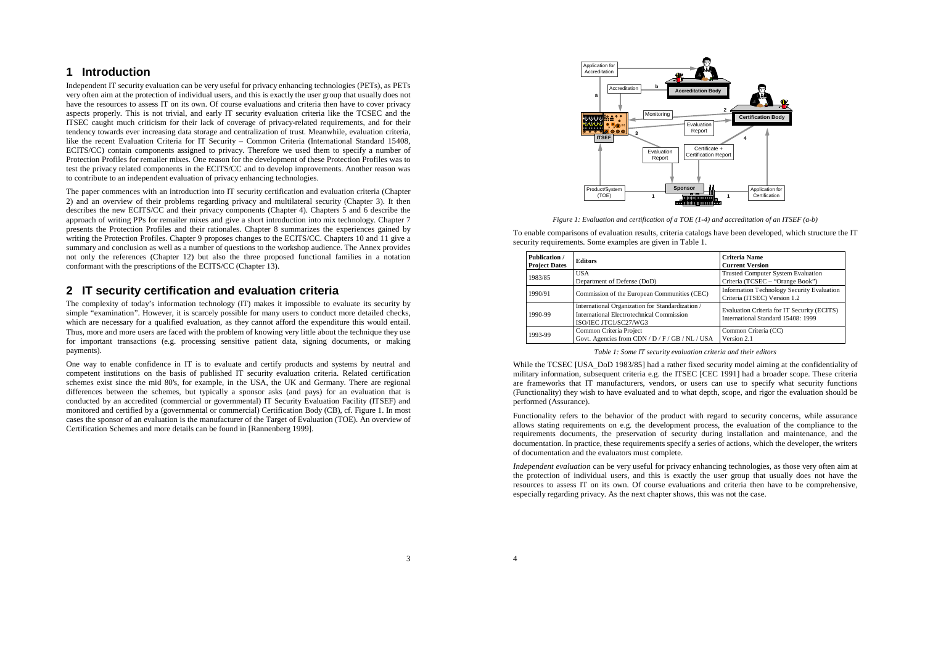# **1 Introduction**

Independent IT security evaluation can be very useful for privacy enhancing technologies (PETs), as PETs very often aim at the protection of individual users, and this is exactly the user group that usually does not have the resources to assess IT on its own. Of course evaluations and criteria then have to cover privacy aspects properly. This is not trivial, and early IT security evaluation criteria like the TCSEC and the ITSEC caught much criticism for their lack of coverage of privacy-related requirements, and for their tendency towards ever increasing data storage and centralization of trust. Meanwhile, evaluation criteria, like the recent Evaluation Criteria for IT Security – Common Criteria (International Standard 15408, ECITS/CC) contain components assigned to privacy. Therefore we used them to specify <sup>a</sup> number of Protection Profiles for remailer mixes. One reason for the development of these Protection Profiles was to test the privacy related components in the ECITS/CC and to develop improvements. Another reason was to contribute to an independent evaluation of privacy enhancing technologies.

The paper commences with an introduction into IT security certification and evaluation criteria (Chapter 2) and an overview of their problems regarding privacy and multilateral security (Chapter 3). It then describes the new ECITS/CC and their privacy components (Chapter 4). Chapters 5 and 6 describe the approach of writing PPs for remailer mixes and give <sup>a</sup> short introduction into mix technology. Chapter 7 presents the Protection Profiles and their rationales. Chapter 8 summarizes the experiences gained by writing the Protection Profiles. Chapter 9 proposes changes to the ECITS/CC. Chapters 10 and 11 give <sup>a</sup> summary and conclusion as well as <sup>a</sup> number of questions to the workshop audience. The Annex provides not only the references (Chapter 12) but also the three proposed functional families in <sup>a</sup> notation conformant with the prescriptions of the ECITS/CC (Chapter 13).

# **2 IT security certification and evaluation criteria**

The complexity of today's information technology (IT) makes it impossible to evaluate its security by simple "examination". However, it is scarcely possible for many users to conduct more detailed checks, which are necessary for <sup>a</sup> qualified evaluation, as they cannot afford the expenditure this would entail. Thus, more and more users are faced with the problem of knowing very little about the technique they use for important transactions (e.g. processing sensitive patient data, signing documents, or making payments).

One way to enable confidence in IT is to evaluate and certify products and systems by neutral and competent institutions on the basis of published IT security evaluation criteria. Related certification schemes exist since the mid 80's, for example, in the USA, the UK and Germany. There are regional differences between the schemes, but typically <sup>a</sup> sponsor asks (and pays) for an evaluation that is conducted by an accredited (commercial or governmental) IT Security Evaluation Facility (ITSEF) and monitored and certified by <sup>a</sup> (governmental or commercial) Certification Body (CB), cf. Figure 1. In most cases the sponsor of an evaluation is the manufacturer of the Target of Evaluation (TOE). An overview of Certification Schemes and more details can be found in [Rannenberg 1999].



Figure 1: Evaluation and certification of a TOE  $(1-4)$  and accreditation of an ITSEF  $(a-b)$ 

To enable comparisons of evaluation results, criteria catalogs have been developed, which structure the IT security requirements. Some examples are given in Table 1.

| Publication /<br><b>Project Dates</b> | <b>Editors</b>                                                                                                         | Criteria Name<br><b>Current Version</b>                                           |
|---------------------------------------|------------------------------------------------------------------------------------------------------------------------|-----------------------------------------------------------------------------------|
| 1983/85                               | <b>USA</b>                                                                                                             | <b>Trusted Computer System Evaluation</b>                                         |
|                                       | Department of Defense (DoD)                                                                                            | Criteria (TCSEC - "Orange Book")                                                  |
| 1990/91                               |                                                                                                                        | Information Technology Security Evaluation                                        |
|                                       | Commission of the European Communities (CEC)                                                                           | Criteria (ITSEC) Version 1.2                                                      |
| 1990-99                               | International Organization for Standardization /<br>International Electrotechnical Commission<br>ISO/IEC JTC1/SC27/WG3 | Evaluation Criteria for IT Security (ECITS)<br>International Standard 15408: 1999 |
| 1993-99                               | Common Criteria Project<br>Govt. Agencies from CDN / D / F / GB / NL / USA                                             | Common Criteria (CC)<br>Version 2.1                                               |

*Table 1: Some IT security evaluation criteria and their editors*

While the TCSEC [USA\_DoD 1983/85] had a rather fixed security model aiming at the confidentiality of military information, subsequent criteria e.g. the ITSEC [CEC 1991] had <sup>a</sup> broader scope. These criteria are frameworks that IT manufacturers, vendors, or users can use to specify what security functions (Functionality) they wish to have evaluated and to what depth, scope, and rigor the evaluation should be performed (Assurance).

Functionality refers to the behavior of the product with regard to security concerns, while assurance allows stating requirements on e.g. the development process, the evaluation of the compliance to the requirements documents, the preservation of security during installation and maintenance, and the documentation. In practice, these requirements specify <sup>a</sup> series of actions, which the developer, the writers of documentation and the evaluators must complete.

*Independent evaluation* can be very useful for privacy enhancing technologies, as those very often aim at the protection of individual users, and this is exactly the user group that usually does not have the resources to assess IT on its own. Of course evaluations and criteria then have to be comprehensive, especially regarding privacy. As the next chapter shows, this was not the case.

3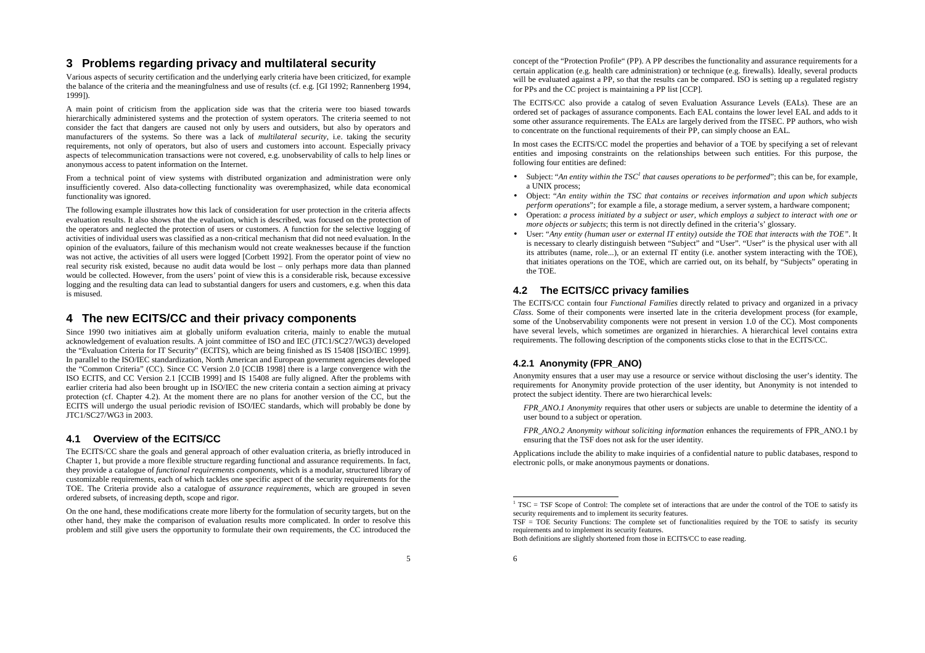# **3 Problems regarding privacy and multilateral security**

Various aspects of security certification and the underlying early criteria have been criticized, for example the balance of the criteria and the meaningfulness and use of results (cf. e.g. [GI 1992; Rannenberg 1994, 1999]).

A main point of criticism from the application side was that the criteria were too biased towards hierarchically administered systems and the protection of system operators. The criteria seemed to not consider the fact that dangers are caused not only by users and outsiders, but also by operators and manufacturers of the systems. So there was <sup>a</sup> lack of *multilateral security*, i.e. taking the security requirements, not only of operators, but also of users and customers into account. Especially privacy aspects of telecommunication transactions were not covered, e.g. unobservability of calls to help lines or anonymous access to patent information on the Internet.

From <sup>a</sup> technical point of view systems with distributed organization and administration were only insufficiently covered. Also data-collecting functionality was overemphasized, while data economical functionality was ignored.

The following example illustrates how this lack of consideration for user protection in the criteria affects evaluation results. It also shows that the evaluation, which is described, was focused on the protection of the operators and neglected the protection of users or customers. A function for the selective logging of activities of individual users was classified as <sup>a</sup> non-critical mechanism that did not need evaluation. In the opinion of the evaluators, failure of this mechanism would not create weaknesses because if the function was not active, the activities of all users were logged [Corbett 1992]. From the operator point of view no real security risk existed, because no audit data would be lost – only perhaps more data than planned would be collected. However, from the users' point of view this is <sup>a</sup> considerable risk, because excessive logging and the resulting data can lead to substantial dangers for users and customers, e.g. when this data is misused.

# **4 The new ECITS/CC and their privacy components**

Since 1990 two initiatives aim at globally uniform evaluation criteria, mainly to enable the mutual acknowledgement of evaluation results. A joint committee of ISO and IEC (JTC1/SC27/WG3) developed the "Evaluation Criteria for IT Security" (ECITS), which are being finished as IS 15408 [ISO/IEC 1999]. In parallel to the ISO/IEC standardization, North American and European governmen<sup>t</sup> agencies developed the "Common Criteria" (CC). Since CC Version 2.0 [CCIB 1998] there is <sup>a</sup> large convergence with the ISO ECITS, and CC Version 2.1 [CCIB 1999] and IS 15408 are fully aligned. After the problems with earlier criteria had also been brought up in ISO/IEC the new criteria contain <sup>a</sup> section aiming at privacy protection (cf. Chapter 4.2). At the moment there are no plans for another version of the CC, but the ECITS will undergo the usual periodic revision of ISO/IEC standards, which will probably be done by JTC1/SC27/WG3 in 2003.

# **4.1 Overview of the ECITS/CC**

The ECITS/CC share the goals and general approach of other evaluation criteria, as briefly introduced in Chapter 1, but provide <sup>a</sup> more flexible structure regarding functional and assurance requirements. In fact, they provide <sup>a</sup> catalogue of *functional requirements components*, which is <sup>a</sup> modular, structured library of customizable requirements, each of which tackles one specific aspec<sup>t</sup> of the security requirements for the TOE. The Criteria provide also <sup>a</sup> catalogue of *assurance requirements*, which are grouped in seven ordered subsets, of increasing depth, scope and rigor.

On the one hand, these modifications create more liberty for the formulation of security targets, but on the other hand, they make the comparison of evaluation results more complicated. In order to resolve this problem and still give users the opportunity to formulate their own requirements, the CC introduced the concep<sup>t</sup> of the "Protection Profile" (PP). A PP describes the functionality and assurance requirements for <sup>a</sup> certain application (e.g. health care administration) or technique (e.g. firewalls). Ideally, several products will be evaluated against a PP, so that the results can be compared. ISO is setting up a regulated registry for PPs and the CC project is maintaining <sup>a</sup> PP list [CCP].

The ECITS/CC also provide <sup>a</sup> catalog of seven Evaluation Assurance Levels (EALs). These are an ordered set of packages of assurance components. Each EAL contains the lower level EAL and adds to it some other assurance requirements. The EALs are largely derived from the ITSEC. PP authors, who wish to concentrate on the functional requirements of their PP, can simply choose an EAL.

In most cases the ECITS/CC model the properties and behavior of <sup>a</sup> TOE by specifying <sup>a</sup> set of relevant entities and imposing constraints on the relationships between such entities. For this purpose, the following four entities are defined:

- Subject: "An entity within the  $TSC<sup>1</sup>$  that causes operations to be performed"; this can be, for example, <sup>a</sup> UNIX process;
- Object: "An entity within the TSC that contains or receives information and upon which subjects *perform operations*"; for example a file, a storage medium, a server system, a hardware component;
- Operation: a process initiated by a subject or user, which employs a subject to interact with one or *more objects or subjects*; this term is not directly defined in the criteria's' glossary.
- User: "Any entity (human user or external IT entity) outside the TOE that interacts with the TOE". It is necessary to clearly distinguish between "Subject" and "User". "User" is the physical user with all its attributes (name, role...), or an external IT entity (i.e. another system interacting with the TOE), that initiates operations on the TOE, which are carried out, on its behalf, by "Subjects" operating in the TOE.

# **4.2 The ECITS/CC privacy families**

The ECITS/CC contain four *Functional Families* directly related to privacy and organized in <sup>a</sup> privacy *Class*. Some of their components were inserted late in the criteria development process (for example, some of the Unobservability components were not presen<sup>t</sup> in version 1.0 of the CC). Most components have several levels, which sometimes are organized in hierarchies. A hierarchical level contains extra requirements. The following description of the components sticks close to that in the ECITS/CC.

# **4.2.1 Anonymity (FPR\_ANO)**

Anonymity ensures that <sup>a</sup> user may use <sup>a</sup> resource or service without disclosing the user's identity. The requirements for Anonymity provide protection of the user identity, but Anonymity is not intended to protect the subject identity. There are two hierarchical levels:

*FPR\_ANO.1 Anonymity* requires that other users or subjects are unable to determine the identity of a user bound to <sup>a</sup> subject or operation.

*FPR\_ANO.2 Anonymity without soliciting information* enhances the requirements of FPR\_ANO.1 by ensuring that the TSF does not ask for the user identity.

Applications include the ability to make inquiries of <sup>a</sup> confidential nature to public databases, respond to electronic polls, or make anonymous payments or donations.

Both definitions are slightly shortened from those in ECITS/CC to ease reading.

 $1<sup>1</sup> TSC = TSF Score of Control: The complete set of interactions that are under the control of the TOE to satisfy its$ security requirements and to implement its security features.

TSF <sup>=</sup> TOE Security Functions: The complete set of functionalities required by the TOE to satisfy its security requirements and to implement its security features.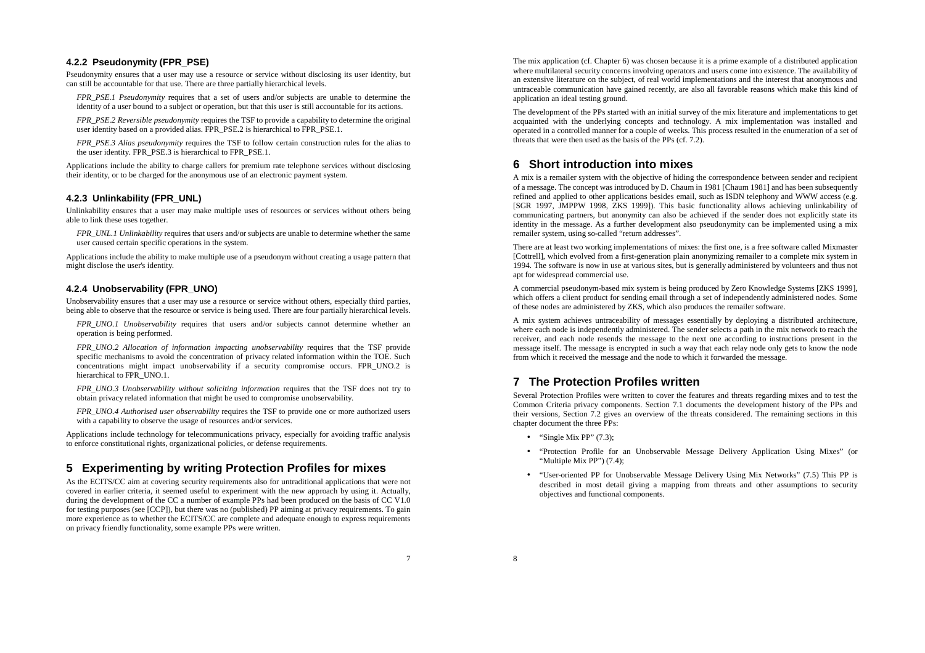#### **4.2.2 Pseudonymity (FPR\_PSE)**

Pseudonymity ensures that <sup>a</sup> user may use <sup>a</sup> resource or service without disclosing its user identity, but can still be accountable for that use. There are three partially hierarchical levels.

*FPR\_PSE.1 Pseudonymity* requires that <sup>a</sup> set of users and/or subjects are unable to determine the identity of <sup>a</sup> user bound to <sup>a</sup> subject or operation, but that this user is still accountable for its actions.

*FPR\_PSE.2 Reversible pseudonymity* requires the TSF to provide <sup>a</sup> capability to determine the original user identity based on <sup>a</sup> provided alias. FPR\_PSE.2 is hierarchical to FPR\_PSE.1.

*FPR\_PSE.3 Alias pseudonymity* requires the TSF to follow certain construction rules for the alias to the user identity. FPR\_PSE.3 is hierarchical to FPR\_PSE.1.

Applications include the ability to charge callers for premium rate telephone services without disclosing their identity, or to be charged for the anonymous use of an electronic paymen<sup>t</sup> system.

# **4.2.3 Unlinkability (FPR\_UNL)**

Unlinkability ensures that <sup>a</sup> user may make multiple uses of resources or services without others being able to link these uses together.

*FPR\_UNL.1 Unlinkability* requires that users and/or subjects are unable to determine whether the same user caused certain specific operations in the system.

Applications include the ability to make multiple use of <sup>a</sup> pseudonym without creating <sup>a</sup> usage pattern that might disclose the user's identity.

#### **4.2.4 Unobservability (FPR\_UNO)**

Unobservability ensures that <sup>a</sup> user may use <sup>a</sup> resource or service without others, especially third parties, being able to observe that the resource or service is being used. There are four partially hierarchical levels.

*FPR\_UNO.1 Unobservability* requires that users and/or subjects cannot determine whether an operation is being performed.

*FPR\_UNO.2 Allocation of information impacting unobservability* requires that the TSF provide specific mechanisms to avoid the concentration of privacy related information within the TOE. Such concentrations might impact unobservability if <sup>a</sup> security compromise occurs. FPR\_UNO.2 is hierarchical to FPR\_UNO.1.

*FPR\_UNO.3 Unobservability without soliciting information* requires that the TSF does not try to obtain privacy related information that might be used to compromise unobservability.

*FPR\_UNO.4 Authorised user observability* requires the TSF to provide one or more authorized users with <sup>a</sup> capability to observe the usage of resources and/or services.

Applications include technology for telecommunications privacy, especially for avoiding traffic analysis to enforce constitutional rights, organizational policies, or defense requirements.

# **5 Experimenting by writing Protection Profiles for mixes**

As the ECITS/CC aim at covering security requirements also for untraditional applications that were not covered in earlier criteria, it seemed useful to experiment with the new approach by using it. Actually, during the development of the CC <sup>a</sup> number of example PPs had been produced on the basis of CC V1.0 for testing purposes (see [CCP]), but there was no (published) PP aiming at privacy requirements. To gain more experience as to whether the ECITS/CC are complete and adequate enough to express requirements on privacy friendly functionality, some example PPs were written.

The mix application (cf. Chapter 6) was chosen because it is <sup>a</sup> prime example of <sup>a</sup> distributed application where multilateral security concerns involving operators and users come into existence. The availability of an extensive literature on the subject, of real world implementations and the interest that anonymous and untraceable communication have gained recently, are also all favorable reasons which make this kind of application an ideal testing ground.

The development of the PPs started with an initial survey of the mix literature and implementations to ge<sup>t</sup> acquainted with the underlying concepts and technology. A mix implementation was installed and operated in <sup>a</sup> controlled manner for <sup>a</sup> couple of weeks. This process resulted in the enumeration of <sup>a</sup> set of threats that were then used as the basis of the PPs (cf. 7.2).

# **6 Short introduction into mixes**

A mix is <sup>a</sup> remailer system with the objective of hiding the correspondence between sender and recipient of <sup>a</sup> message. The concep<sup>t</sup> was introduced by D. Chaum in 1981 [Chaum 1981] and has been subsequently refined and applied to other applications besides email, such as ISDN telephony and WWW access (e.g. [SGR 1997, JMPPW 1998, ZKS 1999]). This basic functionality allows achieving unlinkability of communicating partners, but anonymity can also be achieved if the sender does not explicitly state its identity in the message. As <sup>a</sup> further development also pseudonymity can be implemented using <sup>a</sup> mix remailer system, using so-called "return addresses".

There are at least two working implementations of mixes: the first one, is <sup>a</sup> free software called Mixmaster [Cottrell], which evolved from <sup>a</sup> first-generation plain anonymizing remailer to <sup>a</sup> complete mix system in 1994. The software is now in use at various sites, but is generally administered by volunteers and thus not ap<sup>t</sup> for widespread commercial use.

A commercial pseudonym-based mix system is being produced by Zero Knowledge Systems [ZKS 1999], which offers <sup>a</sup> client product for sending email through <sup>a</sup> set of independently administered nodes. Some of these nodes are administered by ZKS, which also produces the remailer software.

A mix system achieves untraceability of messages essentially by deploying <sup>a</sup> distributed architecture, where each node is independently administered. The sender selects <sup>a</sup> path in the mix network to reach the receiver, and each node resends the message to the next one according to instructions presen<sup>t</sup> in the message itself. The message is encrypted in such <sup>a</sup> way that each relay node only gets to know the node from which it received the message and the node to which it forwarded the message.

# **7 The Protection Profiles written**

Several Protection Profiles were written to cover the features and threats regarding mixes and to test the Common Criteria privacy components. Section 7.1 documents the development history of the PPs and their versions, Section 7.2 gives an overview of the threats considered. The remaining sections in this chapter document the three PPs:

• "Single Mix PP"  $(7.3)$ :

8

- "Protection Profile for an Unobservable Message Delivery Application Using Mixes" (or "Multiple Mix PP") (7.4);
- "User-oriented PP for Unobservable Message Delivery Using Mix Networks" (7.5) This PP is described in most detail giving <sup>a</sup> mapping from threats and other assumptions to security objectives and functional components.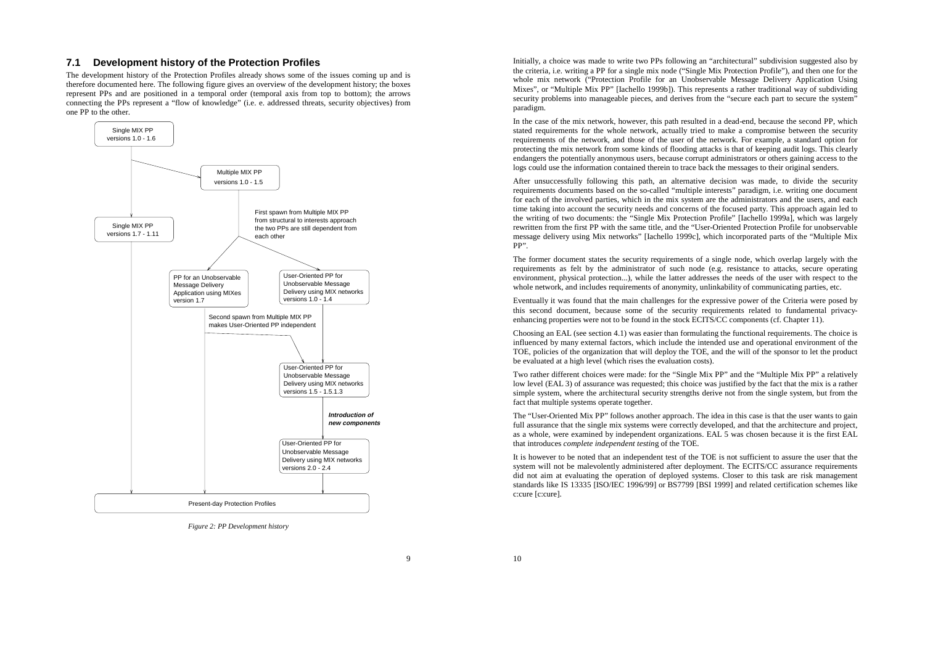# **7.1 Development history of the Protection Profiles**

The development history of the Protection Profiles already shows some of the issues coming up and is therefore documented here. The following figure gives an overview of the development history; the boxes represen<sup>t</sup> PPs and are positioned in <sup>a</sup> temporal order (temporal axis from top to bottom); the arrows connecting the PPs represen<sup>t</sup> <sup>a</sup> "flow of knowledge" (i.e. e. addressed threats, security objectives) from one PP to the other.



*Figure 2: PP Development history*

Initially, <sup>a</sup> choice was made to write two PPs following an "architectural" subdivision suggested also by the criteria, i.e. writing <sup>a</sup> PP for <sup>a</sup> single mix node ("Single Mix Protection Profile"), and then one for the whole mix network ("Protection Profile for an Unobservable Message Delivery Application Using Mixes", or "Multiple Mix PP" [Iachello 1999b]). This represents <sup>a</sup> rather traditional way of subdividing security problems into manageable pieces, and derives from the "secure each par<sup>t</sup> to secure the system" paradigm.

In the case of the mix network, however, this path resulted in <sup>a</sup> dead-end, because the second PP, which stated requirements for the whole network, actually tried to make <sup>a</sup> compromise between the security requirements of the network, and those of the user of the network. For example, <sup>a</sup> standard option for protecting the mix network from some kinds of flooding attacks is that of keeping audit logs. This clearly endangers the potentially anonymous users, because corrup<sup>t</sup> administrators or others gaining access to the logs could use the information contained therein to trace back the messages to their original senders.

After unsuccessfully following this path, an alternative decision was made, to divide the security requirements documents based on the so-called "multiple interests" paradigm, i.e. writing one document for each of the involved parties, which in the mix system are the administrators and the users, and each time taking into account the security needs and concerns of the focused party. This approach again led to the writing of two documents: the "Single Mix Protection Profile" [Iachello 1999a], which was largely rewritten from the first PP with the same title, and the "User-Oriented Protection Profile for unobservable message delivery using Mix networks" [Iachello 1999c], which incorporated parts of the "Multiple Mix PP".

The former document states the security requirements of <sup>a</sup> single node, which overlap largely with the requirements as felt by the administrator of such node (e.g. resistance to attacks, secure operating environment, physical protection...), while the latter addresses the needs of the user with respec<sup>t</sup> to the whole network, and includes requirements of anonymity, unlinkability of communicating parties, etc.

Eventually it was found that the main challenges for the expressive power of the Criteria were posed by this second document, because some of the security requirements related to fundamental privacyenhancing properties were not to be found in the stock ECITS/CC components (cf. Chapter 11).

Choosing an EAL (see section 4.1) was easier than formulating the functional requirements. The choice is influenced by many external factors, which include the intended use and operational environment of the TOE, policies of the organization that will deploy the TOE, and the will of the sponsor to let the product be evaluated at <sup>a</sup> high level (which rises the evaluation costs).

Two rather different choices were made: for the "Single Mix PP" and the "Multiple Mix PP" <sup>a</sup> relatively low level (EAL 3) of assurance was requested; this choice was justified by the fact that the mix is <sup>a</sup> rather simple system, where the architectural security strengths derive not from the single system, but from the fact that multiple systems operate together.

The "User-Oriented Mix PP" follows another approach. The idea in this case is that the user wants to gain full assurance that the single mix systems were correctly developed, and that the architecture and project, as <sup>a</sup> whole, were examined by independent organizations. EAL 5 was chosen because it is the first EAL that introduces *complete independent testin*g of the TOE.

It is however to be noted that an independent test of the TOE is not sufficient to assure the user that the system will not be malevolently administered after deployment. The ECITS/CC assurance requirements did not aim at evaluating the operation of deployed systems. Closer to this task are risk managemen<sup>t</sup> standards like IS 13335 [ISO/IEC 1996/99] or BS7799 [BSI 1999] and related certification schemes like c:cure [c:cure].

10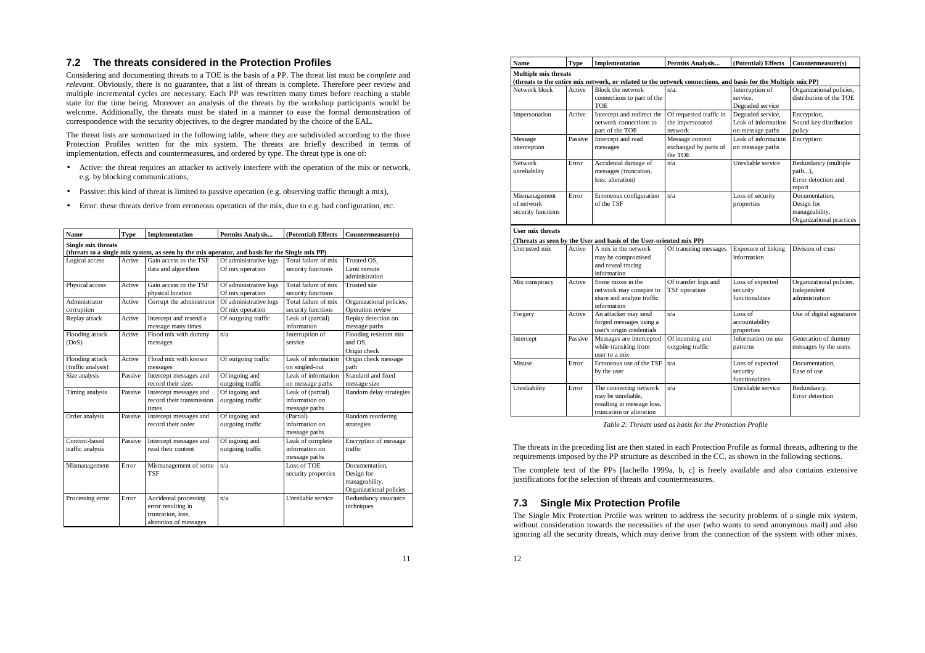# **7.2 The threats considered in the Protection Profiles**

Considering and documenting threats to <sup>a</sup> TOE is the basis of <sup>a</sup> PP. The threat list must be *complete* and *relevant*. Obviously, there is no guarantee, that <sup>a</sup> list of threats is complete. Therefore peer review and multiple incremental cycles are necessary. Each PP was rewritten many times before reaching <sup>a</sup> stable state for the time being. Moreover an analysis of the threats by the workshop participants would be welcome. Additionally, the threats must be stated in <sup>a</sup> manner to ease the formal demonstration of correspondence with the security objectives, to the degree mandated by the choice of the EAL.

The threat lists are summarized in the following table, where they are subdivided according to the three Protection Profiles written for the mix system. The threats are briefly described in terms of implementation, effects and countermeasures, and ordered by type. The threat type is one of:

- Active: the threat requires an attacker to actively interfere with the operation of the mix or network, e.g. by blocking communications,
- Passive: this kind of threat is limited to passive operation (e.g. observing traffic through a mix),
- Error: these threats derive from erroneous operation of the mix, due to e.g. bad configuration, etc.

| <b>Name</b>        | <b>Type</b> | Implementation                                                                                 | Permits Analysis       | (Potential) Effects  | Countermeasure(s)        |  |  |
|--------------------|-------------|------------------------------------------------------------------------------------------------|------------------------|----------------------|--------------------------|--|--|
| Single mix threats |             |                                                                                                |                        |                      |                          |  |  |
|                    |             | (threats to a single mix system, as seen by the mix operator, and basis for the Single mix PP) |                        |                      |                          |  |  |
| Logical access     | Active      | Gain access to the TSF                                                                         | Of administrative logs | Total failure of mix | Trusted OS.              |  |  |
|                    |             | data and algorithms                                                                            | Of mix operation       | security functions   | Limit remote             |  |  |
|                    |             |                                                                                                |                        |                      | administration           |  |  |
| Physical access    | Active      | Gain access to the TSF                                                                         | Of administrative logs | Total failure of mix | <b>Trusted</b> site      |  |  |
|                    |             | physical location                                                                              | Of mix operation       | security functions   |                          |  |  |
| Administrator      | Active      | Corrupt the administrator                                                                      | Of administrative logs | Total failure of mix | Organizational policies, |  |  |
| corruption         |             |                                                                                                | Of mix operation       | security functions   | Operation review         |  |  |
| Replay attack      | Active      | Intercept and resend a                                                                         | Of outgoing traffic    | Leak of (partial)    | Replay detection on      |  |  |
|                    |             | message many times                                                                             |                        | information          | message paths            |  |  |
| Flooding attack    | Active      | Flood mix with dummy                                                                           | n/a                    | Interruption of      | Flooding resistant mix   |  |  |
| (DoS)              |             | messages                                                                                       |                        | service              | and OS.                  |  |  |
|                    |             |                                                                                                |                        |                      | Origin check             |  |  |
| Flooding attack    | Active      | Flood mix with known                                                                           | Of outgoing traffic    | Leak of information  | Origin check message     |  |  |
| (traffic analysis) |             | messages                                                                                       |                        | on singled-out       | path                     |  |  |
| Size analysis      | Passive     | Intercept messages and                                                                         | Of ingoing and         | Leak of information  | Standard and fixed       |  |  |
|                    |             | record their sizes                                                                             | outgoing traffic       | on message paths     | message size             |  |  |
| Timing analysis    | Passive     | Intercept messages and                                                                         | Of ingoing and         | Leak of (partial)    | Random delay strategies  |  |  |
|                    |             | record their transmission                                                                      | outgoing traffic       | information on       |                          |  |  |
|                    |             | times                                                                                          |                        | message paths        |                          |  |  |
| Order analysis     | Passive     | Intercept messages and                                                                         | Of ingoing and         | (Partial)            | Random reordering        |  |  |
|                    |             | record their order                                                                             | outgoing traffic       | information on       | strategies               |  |  |
|                    |             |                                                                                                |                        | message paths        |                          |  |  |
| Content-based      | Passive     | Intercept messages and                                                                         | Of ingoing and         | Leak of complete     | Encryption of message    |  |  |
| traffic analysis   |             | read their content                                                                             | outgoing traffic       | information on       | traffic                  |  |  |
|                    |             |                                                                                                |                        | message paths        |                          |  |  |
| Mismanagement      | Error       | Mismanagement of some                                                                          | n/a                    | Loss of TOE          | Documentation.           |  |  |
|                    |             | <b>TSF</b>                                                                                     |                        | security properties  | Design for               |  |  |
|                    |             |                                                                                                |                        |                      | manageability,           |  |  |
|                    |             |                                                                                                |                        |                      | Organizational policies  |  |  |
| Processing error   | Error       | Accidental processing                                                                          | n/a                    | Unreliable service   | Redundancy assurance     |  |  |
|                    |             | error resulting in                                                                             |                        |                      | techniques               |  |  |
|                    |             | truncation, loss,                                                                              |                        |                      |                          |  |  |
|                    |             | alteration of messages                                                                         |                        |                      |                          |  |  |

| <b>Name</b>                                       | <b>Type</b> | Implementation                                                                                                | Permits Analysis                                       | (Potential) Effects                                          | Countermeasure(s)                                                          |
|---------------------------------------------------|-------------|---------------------------------------------------------------------------------------------------------------|--------------------------------------------------------|--------------------------------------------------------------|----------------------------------------------------------------------------|
| <b>Multiple mix threats</b>                       |             | (threats to the entire mix network, or related to the network connections, and basis for the Multiple mix PP) |                                                        |                                                              |                                                                            |
| Network block                                     | Active      | Block the network<br>connections to part of the<br><b>TOE</b>                                                 | $n/a$ .                                                | Interruption of<br>service.<br>Degraded service              | Organizational policies,<br>distribution of the TOE                        |
| Impersonation                                     | Active      | Intercept and redirect the<br>network connections to<br>part of the TOE                                       | Of requested traffic in<br>the impersonated<br>network | Degraded service,<br>Leak of information<br>on message paths | Encryption,<br>Sound key distribution<br>policy                            |
| Message<br>interception                           | Passive     | Intercept and read<br>messages                                                                                | Message content<br>exchanged by parts of<br>the TOE    | Leak of information<br>on message paths                      | Encryption                                                                 |
| Network<br>unreliability                          | Error       | Accidental damage of<br>messages (truncation,<br>loss, alteration)                                            | n/a                                                    | Unreliable service                                           | Redundancy (multiple<br>path),<br>Error detection and<br>report            |
| Mismanagement<br>of network<br>security functions | Error       | Erroneous configuration<br>of the TSF                                                                         | n/a                                                    | Loss of security<br>properties                               | Documentation,<br>Design for<br>manageability,<br>Organizational practices |
| <b>User mix threats</b>                           |             | (Threats as seen by the User and basis of the User-oriented mix PP)                                           |                                                        |                                                              |                                                                            |
| Untrusted mix                                     | Active      | A mix in the network<br>may be compromised<br>and reveal tracing<br>information                               | Of transiting messages                                 | Exposure of linking<br>information                           | Division of trust                                                          |
| Mix conspiracy                                    | Active      | Some mixes in the<br>network may conspire to<br>share and analyze traffic<br>information                      | Of transfer logs and<br>TSF operation                  | Loss of expected<br>security<br>functionalities              | Organizational policies,<br>Independent<br>administration                  |
| Forgery                                           | Active      | An attacker may send<br>forged messages using a<br>user's origin credentials                                  | n/a                                                    | Loss of<br>accountability<br>properties                      | Use of digital signatures                                                  |
| Intercept                                         | Passive     | Messages are intercepted<br>while transiting from<br>user to a mix                                            | Of incoming and<br>outgoing traffic                    | Information on use<br>patterns                               | Generation of dummy<br>messages by the users                               |
| Misuse                                            | Error       | Erroneous use of the TSF<br>by the user                                                                       | n/a                                                    | Loss of expected<br>security<br>functionalities              | Documentation.<br>Ease of use                                              |
| Unreliability                                     | Error       | The connecting network<br>may be unreliable,<br>resulting in message loss,<br>truncation or alteration        | n/a                                                    | Unreliable service                                           | Redundancy,<br>Error detection                                             |

*Table 2: Threats used as basis for the Protection Profile*

The threats in the preceding list are then stated in each Protection Profile as formal threats, adhering to the requirements imposed by the PP structure as described in the CC, as shown in the following sections.

The complete text of the PPs [Iachello 1999a, b, c] is freely available and also contains extensive justifications for the selection of threats and countermeasures.

# **7.3 Single Mix Protection Profile**

12

The Single Mix Protection Profile was written to address the security problems of <sup>a</sup> single mix system, without consideration towards the necessities of the user (who wants to send anonymous mail) and also ignoring all the security threats, which may derive from the connection of the system with other mixes.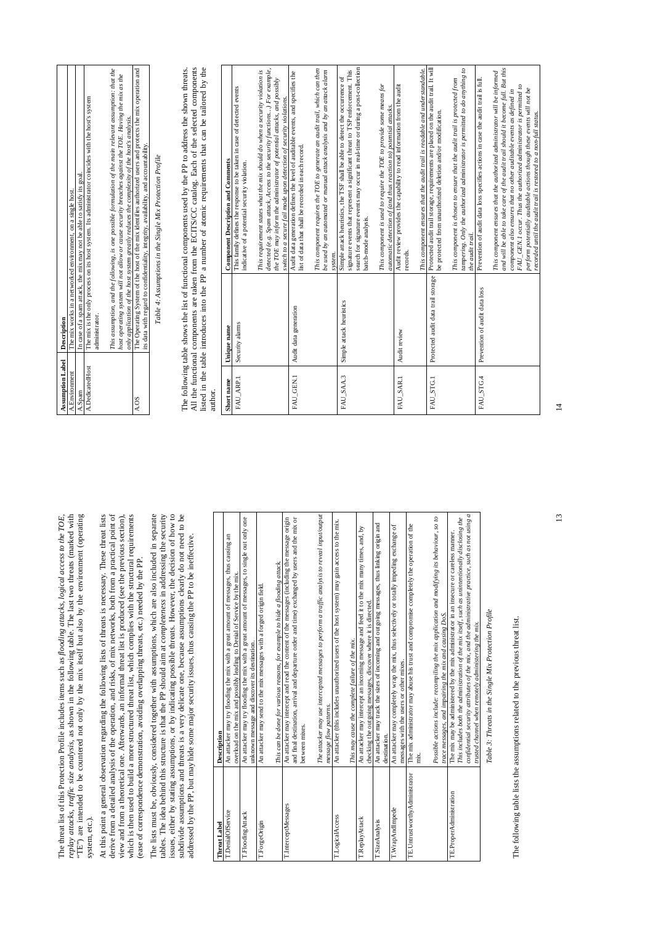The threat list of this Protection Profile includes items such as *flooding attacks, logical access to the TOE*,<br>replay attacks, traffic size analysis, as shown in the following table. The last two threats (marked with "TE") are intended to be countered not only by the mix itself but also by the environment (operating The threat list of this Protection Profile includes items such as *flooding attacks, logical access to the TOE, replay attacks, traffic size analysis,* as shown in the following table. The last two threats (marked with "TE") are intended to be countered not only by the mix itself but also by the environment (operating system, etc.). system, etc.).

derive from a detailed analysis of the operation, and risks, of mix networks, both from a practical point of view and from a theoretical one. Afterwards, an informal threat list is produced (see the previous section), whic At this point a general observation regarding the following lists of threats is necessary. These threat lists derive from a detailed analysis of the operation, and risks, of mix networks, both from a practical point of At this point a general observation regarding the following lists of threats is necessary. These threat lists view and from a theoretical one. Afterwards, an informal threat list is produced (see the previous section), which is then used to build a more structured threat list, which complies with the structural requirements (ease of correspondence demonstration, avoiding overlapping threats, etc.) needed by the PP. (ease of correspondence demonstration, avoiding overlapping threats, etc.) needed by the PP.

issues, either by stating assumptions, or by indicating possible threats. However, the decision of how to subdivide assumptions and threats is a very delicate one, because assumptions clearly do not need to be addressed by the PP, but may hide some major security issues, thus causing the PP to be ineffective. The lists must be, obviously, considered together with assumptions, which are also included in separate tables. The idea behind this structure is that the PP should aim at *completeness* in addressing the security The lists must be, obviously, considered together with assumptions, which are also included in separate tables. The idea behind this structure is that the PP should aim at *completeness* in addressing the security issues, either by stating assumptions, or by indicating possible threats. However, the decision of how to subdivide assumptions and threats is a very delicate one, because assumptions clearly do not need to be addressed by the PP, but may hide some major security issues, thus causing the PP to be ineffective.

| Threat Label                  | <b>Description</b>                                                                                                                                                                                                                                                                                                                                      |
|-------------------------------|---------------------------------------------------------------------------------------------------------------------------------------------------------------------------------------------------------------------------------------------------------------------------------------------------------------------------------------------------------|
| T.DenialOfService             | An attacker may try flooding the mix with a great amount of messages, thus causing an<br>overload on the mix and possibly leading to Denial of Service by the mix.                                                                                                                                                                                      |
| T.FloodingAttack              | An attacker may try flooding the mix with a great amount of messages, to single out only one<br>unknown message and discover its destination.                                                                                                                                                                                                           |
| T.ForgeOrigin                 | This can be done for various reasons, for example to hide a flooding attack.<br>An attacker may send to the mix messages with a forged origin field.                                                                                                                                                                                                    |
| T.InterceptMessages           | The attacker may use intercepted messages to perform a traffic analysis to reveal input/output<br>An attacker may intercept and read the content of the messages (including the message origin<br>and final destination, arrival and departure order and time) exchanged by users and the mix or<br>message flow patterns.<br>between mixes.            |
| T.LogicalAccess               | An attacker (this includes unauthorized users of the host system) may gain access to the mix.<br>This may cause the complete failure of the mix.                                                                                                                                                                                                        |
| T.ReplayAttack                | An attacker may intercept an incoming message and feed it to the mix many times, and, by<br>checking the outgoing messages, discover where it is directed.                                                                                                                                                                                              |
| T.SizeAnalysis                | An attacker may track the sizes of incoming and outgoing messages, thus linking origin and<br>destination.                                                                                                                                                                                                                                              |
| T.WrapAndImpede               | An attacker may completely wrap the mix, thus selectively or totally impeding exchange of<br>messages with the users or other mixes.                                                                                                                                                                                                                    |
| TE.UntrustworthyAdministrator | The mix administrator may abuse his trust and compromise completely the operation of the<br>mix.                                                                                                                                                                                                                                                        |
|                               | Possible actions include: recompiling the mix application and modifying its behaviour, so to<br>trace messages, and impairing the mix and causing DoS.                                                                                                                                                                                                  |
| TE.ProperAdministration       | confidential security attributes of the mix, and the administrative practice, such as not using a<br>This includes both the administration of the mix itself, such as unintentionally disclosing the<br>The mix may be administered by the mix administrator in an insecure or careless manner.<br>trusted channel when remotely administering the mix. |

Table 3: Threats in the Single Mix Protection Profile *Table 3: Threats in the Single Mix Protection Profile*

The following table lists the assumptions related to the previous threat list. The following table lists the assumptions related to the previous threat list.

| <b>Assumption Label Description</b> |                                                                                                                                                                                                                     |
|-------------------------------------|---------------------------------------------------------------------------------------------------------------------------------------------------------------------------------------------------------------------|
| A. Environment                      | The mix works in a networked environment, on a single host.                                                                                                                                                         |
| A.Spam                              | In case of a spam attack, the mix may not be able to satisfy its goal.                                                                                                                                              |
| A. Dedicated Host                   | The mix is the only process on its host system. Its administrator coincides with the host's system                                                                                                                  |
|                                     | administrator.                                                                                                                                                                                                      |
|                                     | This assumption, and the following, is one possible formulation of the main relevant assumption: that the<br>host operating system will not allow or cause security breaches against the TOE. Having the mix as the |
|                                     | only application of the host system greatly reduces the complexity of the host's analysis.                                                                                                                          |
| A.OS                                | The Operating System of the host of the mix identifies authorized users and protects the mix operation and                                                                                                          |
|                                     | its data with regard to confidentiality, integrity, availability, and accountability.                                                                                                                               |

Table 4: Assumptions in the Single Mix Protection Profile *Table 4: Assumptions in the Single Mix Protection Profile* The following table shows the list of functional components used by the PP to address the shown threats.<br>All the functional components are taken from the ECITS/CC catalog. Each of the selected components<br>listed in the tabl All the functional components are taken from the ECITS/CC catalog. Each of the selected components listed in the table introduces into the PP a number of atomic requirements that can be tailored by the The following table shows the list of functional components used by the PP to address the shown threats.

| author.    |                                    |                                                                                                                                                                                                                                                                                                             |
|------------|------------------------------------|-------------------------------------------------------------------------------------------------------------------------------------------------------------------------------------------------------------------------------------------------------------------------------------------------------------|
| Short name | Unique name                        | <b>Component Description and Comments</b>                                                                                                                                                                                                                                                                   |
| FAU_ARP.1  | Security alarms                    | This family defines the response to be taken in case of detected events<br>indicative of a potential security violation.                                                                                                                                                                                    |
|            |                                    | detected (e.g. Spam attack, Access to the security functions) For example,<br>This requirement states what the mix should do when a security violation is<br>the TOE may inform the administrator of potential attacks, and possibly<br>switch to a secure fail mode upon detection of security violations. |
| FAU_GEN.I  | Audit data generation              | Audit data generation defines the level of auditable events, and specifies the<br>list of data that shall be recorded in each record.                                                                                                                                                                       |
|            |                                    | This component requires the TOE to generate an audit trail, which can then<br>be used by an automated or manual attack analysis and by an attack alarm<br>system.                                                                                                                                           |
| FAU_SAA.3  | Simple attack heuristics           | search for signature events may occur in real-time or during a post-collection<br>signature events that represent a significant threat to TSP enforcement. This<br>Simple attack heuristics, the TSF shall be able to detect the occurrence of<br>batch-mode analysis.                                      |
|            |                                    | This component is used to require the TOE to provide some means for<br>automatic detection of (and thus reaction to) potential attacks.                                                                                                                                                                     |
| FAU_SAR.1  | Audit review                       | This component ensures that the audit trail is readable and understandable.<br>Audit review provides the capability to read information from the audit<br>records.                                                                                                                                          |
| FAU_STG.1  | Protected audit data trail storage | Protected audit trail storage, requirements are placed on the audit trail. It will<br>be protected from unauthorized deletion and/or modification.                                                                                                                                                          |
|            |                                    | tampering. Only the authorized administrator is permitted to do anything to<br>This component is chosen to ensure that the audit trail is protected from<br>the audit trail.                                                                                                                                |
| FAU_STG.4  | Prevention of audit data loss      | Prevention of audit data loss specifies actions in case the audit trail is full.                                                                                                                                                                                                                            |
|            |                                    | and will be able to take care of the audit trail should it become full. But this<br>This component ensures that the authorized administrator will be informed<br>FAU_GEN.1 occur. Thus the authorized administrator is permitted to<br>component also ensures that no other auditable events as defined in  |
|            |                                    | perform potentially auditable actions though these events will not be<br>recorded until the audit trail is restored to a non-full status.                                                                                                                                                                   |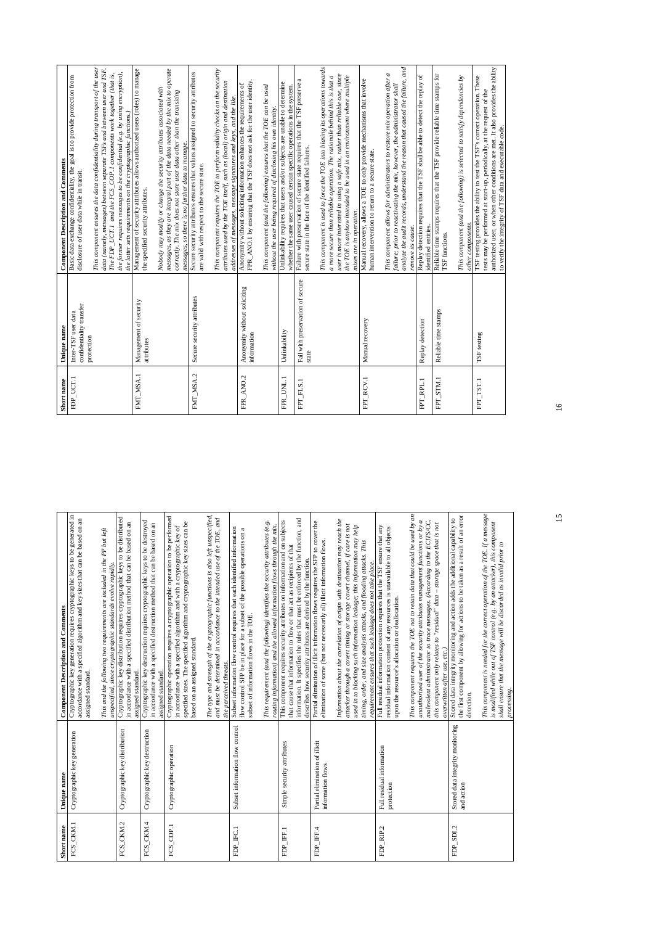| Short name | Unique name                                         | Component Description and Comments                                                                                                                                                                                                                                                                                                                                        |
|------------|-----------------------------------------------------|---------------------------------------------------------------------------------------------------------------------------------------------------------------------------------------------------------------------------------------------------------------------------------------------------------------------------------------------------------------------------|
| FCS_CKM.1  | Cryptographic key generation                        | Cryptographic key generation requires cryptographic keys to be generated in<br>accordance with a specified algorithm and key sizes that can be based on an<br>assigned standard.                                                                                                                                                                                          |
|            |                                                     | This and the following two requirements are included in the PP but left<br>unspecified, since cryptographic standards evolve rapidly.                                                                                                                                                                                                                                     |
| FCS CKM.2  | Cryptographic key distribution                      | Cryptographic key distribution requires cryptographic keys to be distributed<br>in accordance with a specified distribution method that can be based on an<br>assigned standard.                                                                                                                                                                                          |
| FCS_CKM.4  | Cryptographic key destruction                       | Cryptographic key destruction requires cryptographic keys to be destroyed<br>in accordance with a specified destruction method that can be based on an<br>assigned standard.                                                                                                                                                                                              |
| FCS_COP.1  | Cryptographic operation                             | Cryptographic operation requires a cryptographic operation to be performed<br>specified sizes. The specified algorithm and cryptographic key sizes can be<br>in accordance with a specified algorithm and with a cryptographic key of<br>based on an assigned standard.                                                                                                   |
|            |                                                     | The type and strength of the cryptographic functions is also left unspecified,<br>and must be determined in accordance to the intended use of the TOE, and<br>the perceived threats.                                                                                                                                                                                      |
| FDP_IFC.1  | Subset information flow control                     | Subset information flow control requires that each identified information<br>flow control SFP be in place for a subset of the possible operations on a<br>subset of information flows in the TOE.                                                                                                                                                                         |
|            |                                                     | This requirement (and the following) identifies the security attributes (e.g.<br>routing information) and the allowed information flows through the mix.                                                                                                                                                                                                                  |
| FDP_IFF.1  | Simple security attributes                          | information. It specifies the rules that must be enforced by the function, and<br>This component requires security attributes on information and on subjects<br>that cause that information to flow or that act as recipients of that<br>describes how security attributes are derived by the function.                                                                   |
| FDP_IFF.4  | Partial elimination of illicit<br>information flows | Partial elimination of illicit information flows requires the SFP to cover the<br>elimination of some (but not necessarily all) illicit information flows.                                                                                                                                                                                                                |
|            |                                                     | Information about the correlation of origin with destination may reach the<br>attacker through a covert timing or storage covert channel, if care is not<br>used in to blocking such information leakage; this information may help<br>timing, order, and size analysis attacks, and flooding attacks. This<br>requirement ensures that such leakage does not take place. |
| FDP_RIP.2  | Full residual information<br>protection             | Full residual information protection requires that the TSF ensure that any<br>residual information content of any resources is unavailable to all objects<br>upon the resource's allocation or deallocation.                                                                                                                                                              |
|            |                                                     | This component requires the TOE not to retain data that could be used by an<br>unauthorized user of the security attributes management functions or by a<br>malevolent administrator to trace messages. (According to the ECITS/CC,<br>this component only relates to "residual" data - storage space that is not<br>overwritten after use, etc.)                         |
| FDP_SDI.2  | Stored data integrity monitoring<br>and action      | the first component by allowing for actions to be taken as a result of an error<br>Stored data integrity monitoring and action adds the additional capability to<br>detection.                                                                                                                                                                                            |
|            |                                                     | This component is needed for the correct operation of the TOE. If a message<br>is modified while out of TSF control (e.g. by an attacker), this component<br>shall ensure that the message will be discarded as invalid prior to<br>processing.                                                                                                                           |

| Short name | Unique name                                 | <b>Component Description and Comments</b>                                                                                                                                                                                                                                                                                                      |
|------------|---------------------------------------------|------------------------------------------------------------------------------------------------------------------------------------------------------------------------------------------------------------------------------------------------------------------------------------------------------------------------------------------------|
| FDP_UCT.1  | Inter-TSF user data                         | Basic data exchange confidentiality, the goal is to provide protection from<br>disclosure of user data while in transit.                                                                                                                                                                                                                       |
|            | confidentiality transfer<br>protection      |                                                                                                                                                                                                                                                                                                                                                |
|            |                                             | This component ensures the data confidentiality during transport of the user<br>data (namely, messages) between separate TSFs and between user and TSF.<br>the former requires messages to be confidential (e.g. by using encryption),<br>The FDP_UCT.1 and the FCS_COP.1 components work together (that is,                                   |
| FMT_MSA.1  | Management of security<br>attributes        | Management of security attributes allows authorized users (roles) to manage<br>the latter sets requirements on the cryptographic functions.)<br>the specified security attributes.                                                                                                                                                             |
|            |                                             | messages, as they are integral part of the data needed by the mix to operate<br>Nobody may modify or change the security attributes associated with<br>correctly. The mix does not store user data other than the transiting<br>messages, so there is no further data to manage.                                                               |
| FMT_MSA.2  | Secure security attributes                  | Secure security attributes ensures that values assigned to security attributes<br>are valid with respect to the secure state.                                                                                                                                                                                                                  |
|            |                                             | This component requires the TOE to perform validity checks on the security<br>attributes used by the TOE itself, such as (local) origin and destination<br>addresses of messages, message signatures and keys, and the like.                                                                                                                   |
| FPR_ANO.2  | Anonymity without soliciting<br>information | FPR_ANO.1 by ensuring that the TSF does not ask for the user identity.<br>Anonymity without soliciting information enhances the requirements of                                                                                                                                                                                                |
|            |                                             | This component (and the following) ensures that the TOE can be used<br>without the user being required of disclosing his own identity.                                                                                                                                                                                                         |
| FPR_UNL.1  | Unlinkability                               | Unlinkability requires that users and/or subjects are unable to determine<br>whether the same user caused certain specific operations in the system.                                                                                                                                                                                           |
| FPT_FLS.1  | Fail with preservation of secure<br>state   | Failure with preservation of secure state requires that the TSF preserve a<br>secure state in the face of the identified failures.                                                                                                                                                                                                             |
|            |                                             | This component is used to force the TOE into biasing its operations towards<br>user is more interested in using a safe mix, rather than reliable one, since<br>the TOE is anyhow intended to be used in an environment where multiple<br>a more secure than reliable operation. The rationale behind this is that a<br>mixes are in operation. |
| FPT RCV.1  | Manual recovery                             | Manual recovery, allows a TOE to only provide mechanisms that involve<br>human intervention to return to a secure state.                                                                                                                                                                                                                       |
|            |                                             | analyze the audit records, understand the reason that caused the failure, and<br>This component allows for administrators to restore mix operation after a<br>failure; prior to reactivating the mix, however, the administrator shall<br>remove its cause.                                                                                    |
| FPT_RPL.1  | Replay detection                            | Replay detection requires that the TSF shall be able to detect the replay of<br>identified entities.                                                                                                                                                                                                                                           |
| FPT_STM.1  | Reliable time stamps                        | Reliable time stamps requires that the TSF provide reliable time stamps for<br>TSF functions.                                                                                                                                                                                                                                                  |
|            |                                             | This component (and the following) is selected to satisfy dependencies by<br>other components.                                                                                                                                                                                                                                                 |
| FPT_TST.1  | TSF testing                                 | authorized user, or when other conditions are met. It also provides the ability<br>TSF testing provides the ability to test the TSF's correct operation. These<br>tests may be performed at start-up, periodically, at the request of the<br>to verify the integrity of TSF data and executable code.                                          |
|            |                                             |                                                                                                                                                                                                                                                                                                                                                |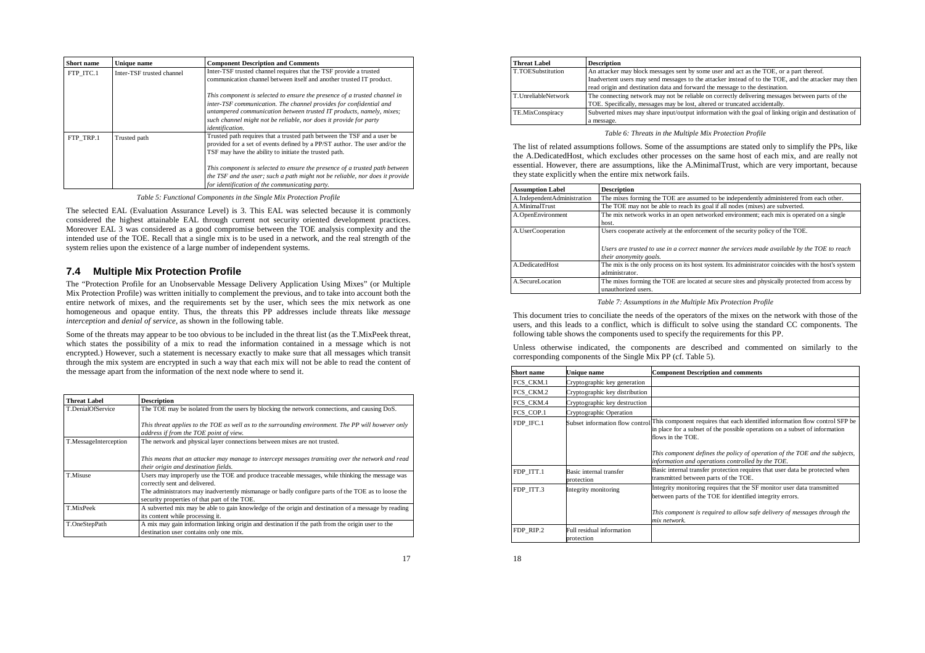| <b>Short</b> name | Unique name               | <b>Component Description and Comments</b>                                    |
|-------------------|---------------------------|------------------------------------------------------------------------------|
| FTP ITC.1         | Inter-TSF trusted channel | Inter-TSF trusted channel requires that the TSF provide a trusted            |
|                   |                           | communication channel between itself and another trusted IT product.         |
|                   |                           | This component is selected to ensure the presence of a trusted channel in    |
|                   |                           | inter-TSF communication. The channel provides for confidential and           |
|                   |                           | untampered communication between trusted IT products, namely, mixes;         |
|                   |                           | such channel might not be reliable, nor does it provide for party            |
|                   |                           | <i>identification.</i>                                                       |
| FTP TRP.1         | Trusted path              | Trusted path requires that a trusted path between the TSF and a user be      |
|                   |                           | provided for a set of events defined by a PP/ST author. The user and/or the  |
|                   |                           | TSF may have the ability to initiate the trusted path.                       |
|                   |                           | This component is selected to ensure the presence of a trusted path between  |
|                   |                           | the TSF and the user; such a path might not be reliable, nor does it provide |
|                   |                           | for identification of the communicating party.                               |

*Table 5: Functional Components in the Single Mix Protection Profile*

The selected EAL (Evaluation Assurance Level) is 3. This EAL was selected because it is commonly considered the highest attainable EAL through current not security oriented development practices. Moreover EAL 3 was considered as <sup>a</sup> good compromise between the TOE analysis complexity and the intended use of the TOE. Recall that <sup>a</sup> single mix is to be used in <sup>a</sup> network, and the real strength of the system relies upon the existence of <sup>a</sup> large number of independent systems.

### **7.4 Multiple Mix Protection Profile**

The "Protection Profile for an Unobservable Message Delivery Application Using Mixes" (or Multiple Mix Protection Profile) was written initially to complement the previous, and to take into account both the entire network of mixes, and the requirements set by the user, which sees the mix network as one homogeneous and opaque entity. Thus, the threats this PP addresses include threats like *message interception* and *denial of service,* as shown in the following table.

Some of the threats may appear to be too obvious to be included in the threat list (as the T.MixPeek threat, which states the possibility of a mix to read the information contained in a message which is not encrypted.) However, such <sup>a</sup> statement is necessary exactly to make sure that all messages which transit through the mix system are encrypted in such <sup>a</sup> way that each mix will not be able to read the content of the message apar<sup>t</sup> from the information of the next node where to send it.

| <b>Threat Label</b>                                                                                                                                  | <b>Description</b>                                                                                                                                 |
|------------------------------------------------------------------------------------------------------------------------------------------------------|----------------------------------------------------------------------------------------------------------------------------------------------------|
| T.DenialOfService                                                                                                                                    | The TOE may be isolated from the users by blocking the network connections, and causing DoS.                                                       |
|                                                                                                                                                      | This threat applies to the TOE as well as to the surrounding environment. The PP will however only                                                 |
|                                                                                                                                                      | address if from the TOE point of view.                                                                                                             |
| T.MessageInterception                                                                                                                                | The network and physical layer connections between mixes are not trusted.                                                                          |
|                                                                                                                                                      | This means that an attacker may manage to intercept messages transiting over the network and read                                                  |
|                                                                                                                                                      | their origin and destination fields.                                                                                                               |
| T.Misuse                                                                                                                                             | Users may improperly use the TOE and produce traceable messages, while thinking the message was<br>correctly sent and delivered.                   |
|                                                                                                                                                      | The administrators may inadvertently mismanage or badly configure parts of the TOE as to loose the<br>security properties of that part of the TOE. |
| A subverted mix may be able to gain knowledge of the origin and destination of a message by reading<br>T.MixPeek<br>its content while processing it. |                                                                                                                                                    |
| T.OneStepPath                                                                                                                                        | A mix may gain information linking origin and destination if the path from the origin user to the<br>destination user contains only one mix.       |

| <b>Threat Label</b> | <b>Description</b>                                                                                    |
|---------------------|-------------------------------------------------------------------------------------------------------|
| T.TOESubstitution   | An attacker may block messages sent by some user and act as the TOE, or a part thereof.               |
|                     | Inadvertent users may send messages to the attacker instead of to the TOE, and the attacker may then  |
|                     | read origin and destination data and forward the message to the destination.                          |
| T.UnreliableNetwork | The connecting network may not be reliable on correctly delivering messages between parts of the      |
|                     | TOE. Specifically, messages may be lost, altered or truncated accidentally.                           |
| TE.MixConspiracy    | Subverted mixes may share input/output information with the goal of linking origin and destination of |
|                     | a message.                                                                                            |

*Table 6: Threats in the Multiple Mix Protection Profile*

The list of related assumptions follows. Some of the assumptions are stated only to simplify the PPs, like the A.DedicatedHost, which excludes other processes on the same host of each mix, and are really not essential. However, there are assumptions, like the A.MinimalTrust, which are very important, because they state explicitly when the entire mix network fails.

| <b>Assumption Label</b>     | <b>Description</b>                                                                                                                                                             |
|-----------------------------|--------------------------------------------------------------------------------------------------------------------------------------------------------------------------------|
| A.IndependentAdministration | The mixes forming the TOE are assumed to be independently administered from each other.                                                                                        |
| A.MinimalTrust              | The TOE may not be able to reach its goal if all nodes (mixes) are subverted.                                                                                                  |
| A.OpenEnvironment           | The mix network works in an open networked environment; each mix is operated on a single                                                                                       |
|                             | host.                                                                                                                                                                          |
| A.UserCooperation           | Users cooperate actively at the enforcement of the security policy of the TOE.<br>Users are trusted to use in a correct manner the services made available by the TOE to reach |
|                             | their anonymity goals.                                                                                                                                                         |
| A.DedicatedHost             | The mix is the only process on its host system. Its administrator coincides with the host's system<br>administrator.                                                           |
| A.SecureLocation            | The mixes forming the TOE are located at secure sites and physically protected from access by<br>unauthorized users.                                                           |

*Table 7: Assumptions in the Multiple Mix Protection Profile*

This document tries to conciliate the needs of the operators of the mixes on the network with those of the users, and this leads to <sup>a</sup> conflict, which is difficult to solve using the standard CC components. The following table shows the components used to specify the requirements for this PP.

Unless otherwise indicated, the components are described and commented on similarly to the corresponding components of the Single Mix PP (cf. Table 5).

| <b>Short name</b> | Unique name                             | <b>Component Description and comments</b>                                                                                                                                                                        |
|-------------------|-----------------------------------------|------------------------------------------------------------------------------------------------------------------------------------------------------------------------------------------------------------------|
| FCS CKM.1         | Cryptographic key generation            |                                                                                                                                                                                                                  |
| FCS CKM.2         | Cryptographic key distribution          |                                                                                                                                                                                                                  |
| FCS CKM.4         | Cryptographic key destruction           |                                                                                                                                                                                                                  |
| FCS COP.1         | Cryptographic Operation                 |                                                                                                                                                                                                                  |
| FDP IFC.1         |                                         | Subset information flow control This component requires that each identified information flow control SFP be<br>in place for a subset of the possible operations on a subset of information<br>flows in the TOE. |
|                   |                                         | This component defines the policy of operation of the TOE and the subjects,<br>information and operations controlled by the TOE.                                                                                 |
| FDP ITT.1         | Basic internal transfer<br>protection   | Basic internal transfer protection requires that user data be protected when<br>transmitted between parts of the TOE.                                                                                            |
| FDP ITT.3         | Integrity monitoring                    | Integrity monitoring requires that the SF monitor user data transmitted<br>between parts of the TOE for identified integrity errors.                                                                             |
|                   |                                         | This component is required to allow safe delivery of messages through the<br>mix network.                                                                                                                        |
| FDP RIP.2         | Full residual information<br>protection |                                                                                                                                                                                                                  |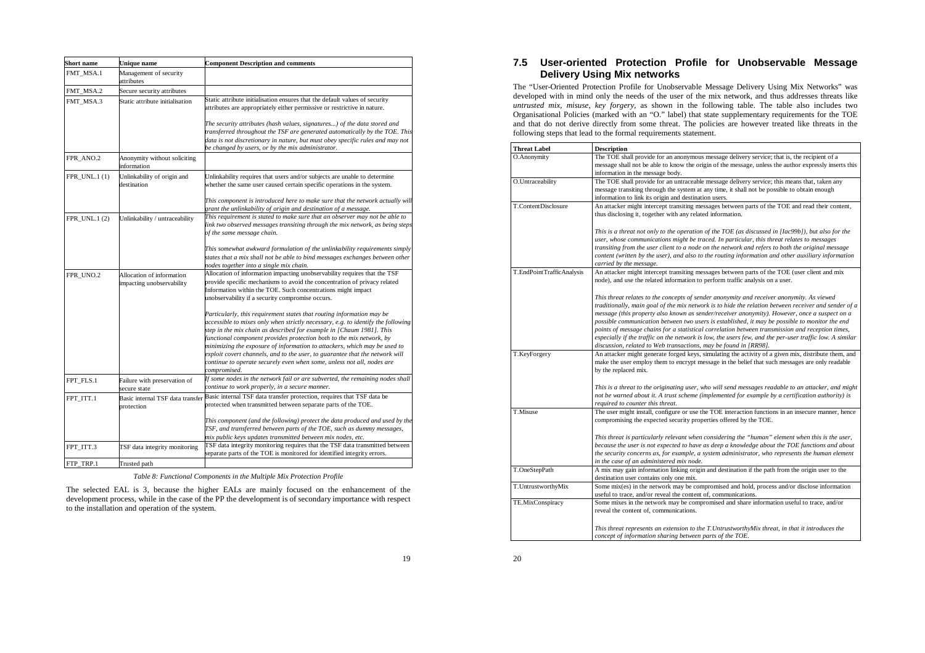| Short name   | Unique name                                            | <b>Component Description and comments</b>                                                                                                                                                                                                                                                                                                                                                                                                                                                                                                                        |
|--------------|--------------------------------------------------------|------------------------------------------------------------------------------------------------------------------------------------------------------------------------------------------------------------------------------------------------------------------------------------------------------------------------------------------------------------------------------------------------------------------------------------------------------------------------------------------------------------------------------------------------------------------|
| FMT MSA.1    | Management of security<br>attributes                   |                                                                                                                                                                                                                                                                                                                                                                                                                                                                                                                                                                  |
| FMT MSA.2    | Secure security attributes                             |                                                                                                                                                                                                                                                                                                                                                                                                                                                                                                                                                                  |
| FMT MSA.3    | Static attribute initialisation                        | Static attribute initialisation ensures that the default values of security<br>attributes are appropriately either permissive or restrictive in nature.                                                                                                                                                                                                                                                                                                                                                                                                          |
|              |                                                        | The security attributes (hash values, signatures) of the data stored and<br>transferred throughout the TSF are generated automatically by the TOE. This<br>data is not discretionary in nature, but must obey specific rules and may not<br>be changed by users, or by the mix administrator.                                                                                                                                                                                                                                                                    |
| FPR_ANO.2    | Anonymity without soliciting<br>information            |                                                                                                                                                                                                                                                                                                                                                                                                                                                                                                                                                                  |
| FPR_UNL.1(1) | Unlinkability of origin and<br>destination             | Unlinkability requires that users and/or subjects are unable to determine<br>whether the same user caused certain specific operations in the system.                                                                                                                                                                                                                                                                                                                                                                                                             |
|              |                                                        | This component is introduced here to make sure that the network actually will<br>grant the unlinkability of origin and destination of a message.                                                                                                                                                                                                                                                                                                                                                                                                                 |
| FPR_UNL.1(2) | Unlinkability / untraceability                         | This requirement is stated to make sure that an observer may not be able to<br>link two observed messages transiting through the mix network, as being steps<br>of the same message chain.                                                                                                                                                                                                                                                                                                                                                                       |
|              |                                                        | This somewhat awkward formulation of the unlinkability requirements simply<br>states that a mix shall not be able to bind messages exchanges between other<br>nodes together into a single mix chain.                                                                                                                                                                                                                                                                                                                                                            |
| FPR UNO.2    | Allocation of information<br>impacting unobservability | Allocation of information impacting unobservability requires that the TSF<br>provide specific mechanisms to avoid the concentration of privacy related<br>Information within the TOE. Such concentrations might impact<br>unobservability if a security compromise occurs.                                                                                                                                                                                                                                                                                       |
|              |                                                        | Particularly, this requirement states that routing information may be<br>accessible to mixes only when strictly necessary, e.g. to identify the following<br>step in the mix chain as described for example in [Chaum 1981]. This<br>functional component provides protection both to the mix network, by<br>minimizing the exposure of information to attackers, which may be used to<br>exploit covert channels, and to the user, to guarantee that the network will<br>continue to operate securely even when some, unless not all, nodes are<br>compromised. |
| FPT_FLS.1    | Failure with preservation of<br>secure state           | If some nodes in the network fail or are subverted, the remaining nodes shall<br>continue to work properly, in a secure manner.                                                                                                                                                                                                                                                                                                                                                                                                                                  |
| FPT_ITT.1    | Basic internal TSF data transfer<br>protection         | Basic internal TSF data transfer protection, requires that TSF data be<br>protected when transmitted between separate parts of the TOE.                                                                                                                                                                                                                                                                                                                                                                                                                          |
|              |                                                        | This component (and the following) protect the data produced and used by the<br>TSF, and transferred between parts of the TOE, such as dummy messages,<br>mix public keys updates transmitted between mix nodes, etc.                                                                                                                                                                                                                                                                                                                                            |
| FPT_ITT.3    | TSF data integrity monitoring                          | TSF data integrity monitoring requires that the TSF data transmitted between<br>separate parts of the TOE is monitored for identified integrity errors.                                                                                                                                                                                                                                                                                                                                                                                                          |
| FTP_TRP.1    | Trusted path                                           |                                                                                                                                                                                                                                                                                                                                                                                                                                                                                                                                                                  |

*Table 8: Functional Components in the Multiple Mix Protection Profile*

The selected EAL is 3, because the higher EALs are mainly focused on the enhancement of the development process, while in the case of the PP the development is of secondary importance with respec<sup>t</sup> to the installation and operation of the system.

# **7.5 User-oriented Protection Profile for Unobservable Message Delivery Using Mix networks**

The "User-Oriented Protection Profile for Unobservable Message Delivery Using Mix Networks" was developed with in mind only the needs of the user of the mix network, and thus addresses threats like *untrusted mix, misuse, key forgery,* as shown in the following table. The table also includes two Organisational Policies (marked with an "O." label) that state supplementary requirements for the TOE and that do not derive directly from some threat. The policies are however treated like threats in the following steps that lead to the formal requirements statement.

| <b>Threat Label</b>       | <b>Description</b>                                                                                                                                                             |
|---------------------------|--------------------------------------------------------------------------------------------------------------------------------------------------------------------------------|
| O.Anonymity               | The TOE shall provide for an anonymous message delivery service; that is, the recipient of a                                                                                   |
|                           | message shall not be able to know the origin of the message, unless the author expressly inserts this                                                                          |
|                           | information in the message body.                                                                                                                                               |
| O.Untraceability          | The TOE shall provide for an untraceable message delivery service; this means that, taken any                                                                                  |
|                           | message transiting through the system at any time, it shall not be possible to obtain enough                                                                                   |
|                           | information to link its origin and destination users.                                                                                                                          |
| T.ContentDisclosure       | An attacker might intercept transiting messages between parts of the TOE and read their content,                                                                               |
|                           | thus disclosing it, together with any related information.                                                                                                                     |
|                           | This is a threat not only to the operation of the TOE (as discussed in [Iac99b]), but also for the                                                                             |
|                           | user, whose communications might be traced. In particular, this threat relates to messages                                                                                     |
|                           | transiting from the user client to a node on the network and refers to both the original message                                                                               |
|                           | content (written by the user), and also to the routing information and other auxiliary information                                                                             |
|                           | carried by the message.                                                                                                                                                        |
| T.EndPointTrafficAnalysis | An attacker might intercept transiting messages between parts of the TOE (user client and mix<br>node), and use the related information to perform traffic analysis on a user. |
|                           | This threat relates to the concepts of sender anonymity and receiver anonymity. As viewed                                                                                      |
|                           | traditionally, main goal of the mix network is to hide the relation between receiver and sender of a                                                                           |
|                           | message (this property also known as sender/receiver anonymity). However, once a suspect on a                                                                                  |
|                           | possible communication between two users is established, it may be possible to monitor the end                                                                                 |
|                           | points of message chains for a statistical correlation between transmission and reception times,                                                                               |
|                           | especially if the traffic on the network is low, the users few, and the per-user traffic low. A similar                                                                        |
| T.KeyForgery              | discussion, related to Web transactions, may be found in [RR98].<br>An attacker might generate forged keys, simulating the activity of a given mix, distribute them, and       |
|                           | make the user employ them to encrypt message in the belief that such messages are only readable                                                                                |
|                           | by the replaced mix.                                                                                                                                                           |
|                           |                                                                                                                                                                                |
|                           | This is a threat to the originating user, who will send messages readable to an attacker, and might                                                                            |
|                           | not be warned about it. A trust scheme (implemented for example by a certification authority) is                                                                               |
| T.Misuse                  | required to counter this threat.<br>The user might install, configure or use the TOE interaction functions in an insecure manner, hence                                        |
|                           | compromising the expected security properties offered by the TOE.                                                                                                              |
|                           |                                                                                                                                                                                |
|                           | This threat is particularly relevant when considering the "human" element when this is the user,                                                                               |
|                           | because the user is not expected to have as deep a knowledge about the TOE functions and about                                                                                 |
|                           | the security concerns as, for example, a system administrator, who represents the human element                                                                                |
|                           | in the case of an administered mix node.                                                                                                                                       |
| T.OneStepPath             | A mix may gain information linking origin and destination if the path from the origin user to the                                                                              |
|                           | destination user contains only one mix.                                                                                                                                        |
| T.UntrustworthyMix        | Some mix(es) in the network may be compromised and hold, process and/or disclose information                                                                                   |
|                           | useful to trace, and/or reveal the content of, communications.<br>Some mixes in the network may be compromised and share information useful to trace, and/or                   |
| TE.MixConspiracy          | reveal the content of, communications.                                                                                                                                         |
|                           |                                                                                                                                                                                |
|                           | This threat represents an extension to the T. UntrustworthyMix threat, in that it introduces the                                                                               |
|                           | concept of information sharing between parts of the TOE.                                                                                                                       |
|                           |                                                                                                                                                                                |

20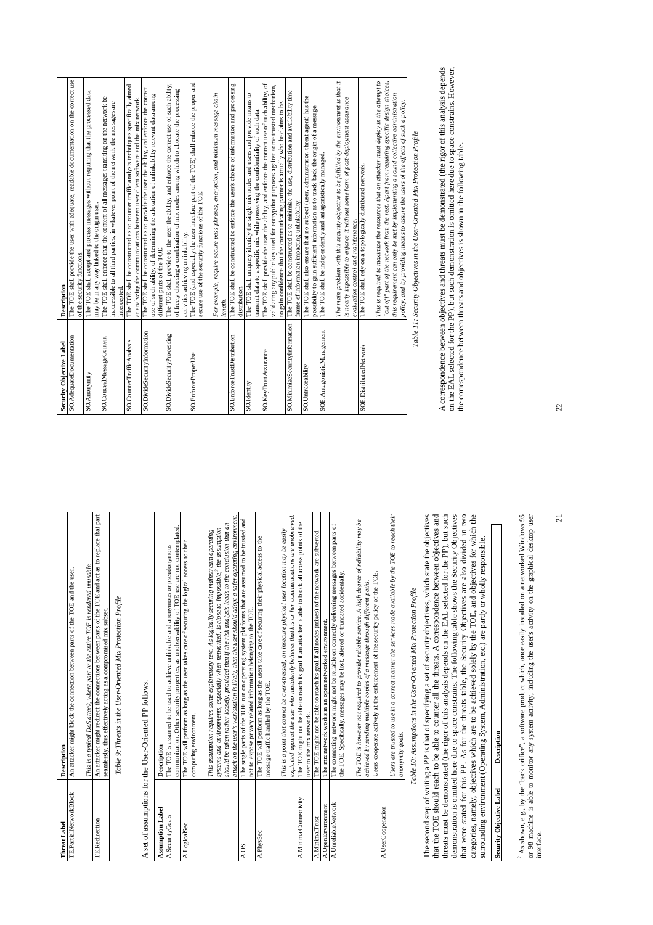| Threat Label           | <b>Description</b>                                                                                  |
|------------------------|-----------------------------------------------------------------------------------------------------|
| TE.PartialNetworkBlock | An attacker might block the connection between parts of the TOE and the user.                       |
|                        | This is a typical DoS attack, where part or the entire TOE is rendered unusable.                    |
| <b>TE.Redirection</b>  | An attacker might redirect the connections between parts of the TOE and act as to replace that part |
|                        | eamlessly, thus effectively acting as a compromised mix subset.                                     |

Table 9: Threats in the User-Oriented Mix Protection Profile *Table 9: Threats in the User-Oriented Mix Protection Profile*

# A set of assumptions for the User-Oriented PP follows. A set of assumptions for the User-Oriented PP follows

| Assumption Label                         | <b>Description</b>                                                                                                                                                                                                                                                                                                                                                                                                    |
|------------------------------------------|-----------------------------------------------------------------------------------------------------------------------------------------------------------------------------------------------------------------------------------------------------------------------------------------------------------------------------------------------------------------------------------------------------------------------|
| A.SecurityGoals                          | communication. Other security properties, as unobservability of TOE use are not contemplated.<br>The TOE is assumed to be used to achieve unlinkable and anonymous or pseudonymous                                                                                                                                                                                                                                    |
| A.LogicalSec                             | The TOE will perform as long as the user takes care of securing the logical access to their<br>computing environment.                                                                                                                                                                                                                                                                                                 |
|                                          | attack on the user's workstation is likely, then the user should adopt a safer operating environment.<br>should be taken rather loosely, provided that if the risk analysis leads to the conclusion that an<br>systems and environments, especially when networked, is close to impossible, <sup>2</sup> the assumption<br>This assumption requires some explanatory text. As logically securing mainstream operating |
| A.OS                                     | The single parts of the TOE run on operating system platforms that are assumed to be trusted and<br>not to expose privacy related information belonging to the TOE.                                                                                                                                                                                                                                                   |
| A.PhysSec                                | The TOE will perform as long as the users take care of securing their physical access to the<br>message traffic handled by the TOE.                                                                                                                                                                                                                                                                                   |
|                                          | exploited against the user who mistakenly believes that his or her communications are unobserved.<br>This is a point that cannot be over-stressed; an insecure physical user location may be easily                                                                                                                                                                                                                   |
| A.MinimalComectivity                     | The TOE might not be able to reach its goal if an attacker is able to block all access points of the<br>user to the mix network.                                                                                                                                                                                                                                                                                      |
| A.MinimalTrust                           | The TOE might not be able to reach its goal if all nodes (mixes) of the network are subverted.                                                                                                                                                                                                                                                                                                                        |
| A.UnreliableNetwork<br>A.OpenEnvironment | The connecting network might not be reliable on correctly delivering messages between parts of<br>the TOE. Specifically, messages may be lost, altered or truncated accidentally.<br>The mix network works in an open networked environment.                                                                                                                                                                          |
|                                          | The TOE is however not required to provide reliable service. A high degree of reliability may be<br>achieved by sending multiple copies of a message through different paths.                                                                                                                                                                                                                                         |
| A.UserCooperation                        | Users cooperate actively at the enforcement of the security policy of the TOE.                                                                                                                                                                                                                                                                                                                                        |
|                                          | Users are trusted to use in a correct manner the services made available by the TOE to reach their<br>anonymity goals.                                                                                                                                                                                                                                                                                                |
|                                          | Table 10: Assumptions in the User-Oriented Mix Protection Profile                                                                                                                                                                                                                                                                                                                                                     |

*Table 10: Assumptions in the User-Oriented Mix Protection Profile*

demonstration is omitted here due to space constrains. The following table shows the Security Objectives that were stated for this PP. As for the threats table, the Security Objectives are also divided in two categories, n The second step of writing a PP is that of specifying a set of security objectives, which state the objectives<br>that the TOE should reach to be able to counter all the threats. A correspondence between objectives and threats must be demonstrated (the rigor of this analysis depends on the EAL selected for the PP), but such The second step of writing a PP is that of specifying a set of security objectives, which state the objectives that the TOE should reach to be able to counter all the threats. A correspondence between objectives and threats must be demonstrated (the rigor of this analysis depends on the EAL selected for the PP), but such demonstration is omitted here due to space constrains. The following table shows the Security Objectives that were stated for this PP. As for the threats table, the Security Objectives are also divided in two categories, namely, objectives which are to be achieved solely by the TOE, and objectives for which the surrounding environment (Operating System, Administration, etc.) are partly or wholly responsible. surrounding environment (Operating System, Administration, etc.) are partly or wholly responsible.

# Description **Security Objective Label Description** Security Objective Label

| Security Objective Label       | Description                                                                                                                                                                                                                                                                                                                                 |
|--------------------------------|---------------------------------------------------------------------------------------------------------------------------------------------------------------------------------------------------------------------------------------------------------------------------------------------------------------------------------------------|
| SO.AdequateDocumentation       | The TOE shall provide the user with adequate, readable documentation on the correct use<br>of the security functions.                                                                                                                                                                                                                       |
| SO.Anonymity                   | The TOE shall accept and process messages without requiring that the processed data<br>may be in any way linked to the origin user.                                                                                                                                                                                                         |
| SO.ConcealMessageContent       | The TOE shall enforce that the content of all messages transiting on the network be<br>inaccessible to all third parties, in whatever point of the network the messages are<br>intercepted.                                                                                                                                                 |
| SO.CounterTrafficAnalysis      | The TOE shall be constructed as to counter traffic analysis techniques specifically aimed<br>at analyzing the communications between user client software and the mix network.                                                                                                                                                              |
| SO.DivideSecurityInformation   | The TOE shall be constructed as to provide the user the ability, and enforce the correct<br>use of such ability, of determining the allocation of unlinkability-relevant data among<br>different parts of the TOE.                                                                                                                          |
| SO.DivideSecurityProcessing    | The TOE shall provide to the user the ability, and enforce the correct use of such ability,<br>of freely choosing a combination of mix nodes among which to allocate the processing<br>activities achieving unlinkability.                                                                                                                  |
| SO.EnforceProperUse            | The TOE (and especially the user interface part of the TOE) shall enforce the proper and<br>For example, require secure pass phrases, encryption, and minimum message chain<br>secure use of the security functions of the TOE.<br>length.                                                                                                  |
| SO.EnforceTrustDistribution    | The TOE shall be constructed to enforce the user's choice of information and processing<br>distribution.                                                                                                                                                                                                                                    |
| SO.Identity                    | The TOE shall uniquely identify the single mix nodes and users and provide means to<br>transmit data to a specific mix while preserving the confidentiality of such data.                                                                                                                                                                   |
| SO.KeyTrustAssurance           | The TOE shall provide the user the ability, and enforce the correct use of such ability, of<br>validating any public key used for encryption purposes against some trusted mechanism,<br>to gain confidence that the communicating partner is actually who he claims to be.                                                                 |
| SO.MinimizeSecurityInformation | The TOE shall be constructed as to minimize the use, distribution and availability time<br>frame of information impacting unlinkability.                                                                                                                                                                                                    |
| SO.Untraceability              | The TOE shall also ensure that no subject (user, administrator, threat agent) has the<br>possibility to gain sufficient information as to track back the origin of a message.                                                                                                                                                               |
| SOE.AntagonisticManagement     | The main problem with this security objective to be fulfilled by the environment is that it<br>is nearly impossible to enforce it without some form of post-deployment assurance<br>The TOE shall be independently and antagonistically managed.<br>evaluation control and maintenance.                                                     |
| SOE.DistributedNetwork         | This is required to maximize the resources that an attacker must deploy in the attempt to<br>"cut off" part of the network from the rest. Apart from requiring specific design choices,<br>this requirement can only be met by implementing a sound collective administration<br>The TOE shall rely on a topologically distributed network. |
|                                | policy, and by providing means to assure the users of the effects of such a policy.<br>Table 11: Security Objectives in the User-Oriented Mix Protection Profile                                                                                                                                                                            |

A correspondence between objectives and threats must be demonstrated (the rigor of this analysis depends<br>on the EAL selected for the PP), but such demonstration is omitted here due to space constrains. However,<br>the corresp A correspondence between objectives and threats must be demonstrated (the rigor of this analysis depends on the EAL selected for the PP), but such demonstration is omitted here due to space constrains. However, the correspondence between threats and objectives is shown in the following table.

22

 ${}^2$  As shown, e.g., by the "back orifice", a software product which, once easily installed on a networked Windows 95 or 98 machine is able to monitor any system activity, including the user's activity on the graphical d As shown, e.g., by the "back orifice", a software product which, once easily installed on a networked Windows 95 or 98 machine is able to monitor any system activity, including the user's activity on the graphical desktop user interface.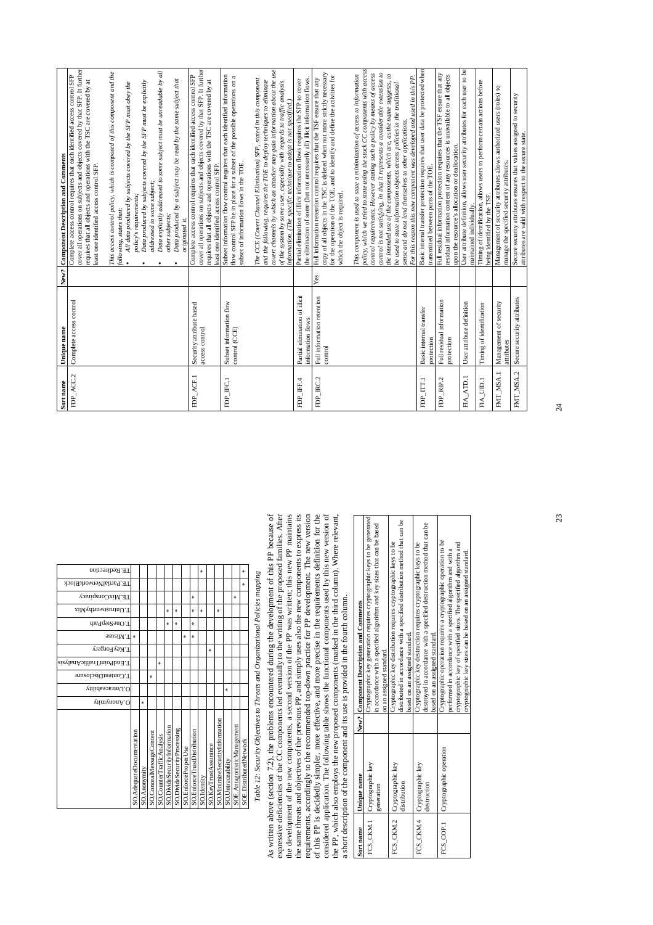| TE.Redirection             |                          |              |                          |                           |                              |                             |                     |                             | ₩           |                      |                                |                   |                            | ₩                             |
|----------------------------|--------------------------|--------------|--------------------------|---------------------------|------------------------------|-----------------------------|---------------------|-----------------------------|-------------|----------------------|--------------------------------|-------------------|----------------------------|-------------------------------|
| TE.PartialNetworkBlock     |                          |              |                          |                           |                              |                             |                     |                             |             |                      |                                |                   |                            | ₩                             |
| TE.MixConspiracy           |                          |              |                          |                           |                              |                             |                     | 쑦                           |             |                      |                                |                   | 쑦                          |                               |
| xiMydnowiaunnU.T           |                          |              |                          |                           | ₩                            | 쑦                           |                     | 쑦                           | ₩           |                      | ₩                              |                   |                            |                               |
| dhs <sup>q</sup> qot2onO.T |                          |              |                          |                           | ₩                            | 쑦                           |                     | 쑦                           |             |                      |                                |                   |                            |                               |
| ∍susiM.T                   | 外                        |              |                          |                           |                              |                             | ₩                   | 쑦                           |             |                      |                                |                   |                            |                               |
| T.KeyForgery               |                          |              |                          |                           |                              |                             |                     |                             |             | 쑦                    |                                |                   |                            |                               |
| aizylsnAoiftsrTrnio9bnH.T  |                          |              |                          | ₩                         |                              |                             |                     |                             |             |                      |                                |                   |                            |                               |
| T.ContentDisclosure        |                          |              | 쑦                        |                           |                              |                             |                     |                             |             |                      |                                |                   |                            |                               |
| Vilids∍orunU.O             |                          |              |                          |                           |                              |                             |                     |                             |             |                      |                                | 쑦                 |                            |                               |
| ViimvnonA.O                |                          | ₩            |                          |                           |                              |                             |                     |                             |             |                      |                                |                   |                            |                               |
|                            | SO.AdequateDocumentation | SO.Anonymity | SO.ConcealMessageContent | SO.CounterTrafficAnalysis | SO.DivideSecurityInformation | SO.DivideSecurityProcessing | SO.EnforceProperUse | SO.EnforceTrustDistribution | SO.Identity | SO.KeyTrustAssurance | SO.MinimizeSecurityInformation | SO.Untraceability | SOE.AntagonisticManagement | <b>SOE.DistributedNetwork</b> |

Table 12: Security Objectives to Threats and Organizational Policies mapping *Table 12: Security Objectives to Threats and Organizational Policies mapping*

As writen above (section 7.2), the problems encountered during the development of this PP because of<br>expressive deficiencies of the CC components led eventually to the writing of the proposed families. After<br>the developme As written above (section 7.2), the problems encountered during the development of this PP because of considered application. The following table shows the functional components used by this new version of expressive deficiencies of the CC components led eventually to the writing of the proposed families. After the development of the new components, a second version of the PP was written; this new PP maintains the same threats and objectives of the previous PP, and simply uses also the new components to express its requirements, accordingly to the recommended top-down practice for PP development. The new version of this PP is decidedly simpler, more effective, and more precise in the requirements definition for the the PP, which also employs the new proposed components (marked in the third column). Where relevant, a short description of the component and its use is provided in the fourth column.

| Sort name | Unique name                               | New? Component Description and Comments                                                                                                              |
|-----------|-------------------------------------------|------------------------------------------------------------------------------------------------------------------------------------------------------|
|           | FCS_CKM.1 Cryptographic key<br>generation | Cryptographic key generation requires cryptographic keys to be generated<br>in accordance with a specified algorithm and key sizes that can be based |
|           |                                           | on an assigned standard.                                                                                                                             |
|           | FCS_CKM.2 Cryptographic key               | Cryptographic key distribution requires cryptographic keys to be                                                                                     |
|           | distribution                              | distributed in accordance with a specified distribution method that can be                                                                           |
|           |                                           | based on an assigned standard.                                                                                                                       |
|           | FCS_CKM.4 Cryptographic key               | Cryptographic key destruction requires cryptographic keys to be                                                                                      |
|           | destruction                               | destroyed in accordance with a specified destruction method that can be                                                                              |
|           |                                           | based on an assigned standard.                                                                                                                       |
|           | FCS_COP.1 Cryptographic operation         | Cryptographic operation requires a cryptographic operation to be                                                                                     |
|           |                                           | performed in accordance with a specified algorithm and with                                                                                          |
|           |                                           | cryptographic key of specified sizes. The specified algorithm and                                                                                    |
|           |                                           | cryptographic key sizes can be based on an assigned standard.                                                                                        |

| Sort name | Unique name                                         |     | New? Component Description and Comments                                                                                                                                                                                                                                         |
|-----------|-----------------------------------------------------|-----|---------------------------------------------------------------------------------------------------------------------------------------------------------------------------------------------------------------------------------------------------------------------------------|
| FDP_ACC.2 | Complete access control                             |     | cover all operations on subjects and objects covered by that SFP. It further<br>Complete access control requires that each identified access control SFP<br>requires that all objects and operations with the TSC are covered by at<br>least one identified access control SFP. |
|           |                                                     |     | This access control policy, which is composed of this component and the<br>All data produced by subjects covered by the SFP must obey the<br>policy's requirements;<br>following, states that:                                                                                  |
|           |                                                     |     | Data produced by subjects covered by the SFP must be explicitly<br>addressed to some subject;                                                                                                                                                                                   |
|           |                                                     |     | Data explicitly addressed to some subject must be unreadable by all<br>other subjects;                                                                                                                                                                                          |
|           |                                                     |     | Data produced by a subject may be read by the same subject that<br>originated it.                                                                                                                                                                                               |
| FDP_ACF.1 | Security attribute based<br>access control          |     | cover all operations on subjects and objects covered by that SFP. It further<br>Complete access control requires that each identified access control SFP<br>requires that all objects and operations with the TSC are covered by at                                             |
|           |                                                     |     | least one identified access control SFP                                                                                                                                                                                                                                         |
| FDP_IFC.1 | Subset information flow<br>control (CCE)            |     | Subset information flow control requires that each identified information<br>flow control SFP be in place for a subset of the possible operations on a<br>subset of information flows in the TOE.                                                                               |
|           |                                                     |     | The CCE (Covert Channel Elimination) SFP, stated in this component                                                                                                                                                                                                              |
|           |                                                     |     | and the following, requires the TOE to deploy techniques to eliminate                                                                                                                                                                                                           |
|           |                                                     |     | covert channels by which an attacker may gain information about the use<br>of the system by some user, especially with regards to traffic analysis                                                                                                                              |
|           |                                                     |     | information. (The specific technique to adopt is not specified.)                                                                                                                                                                                                                |
| FDP_IFF.4 | Partial elimination of illicit<br>information flows |     | the elimination of some (but not necessarily all) illicit information flows.<br>Partial elimination of illicit information flows requires the SFP to cover                                                                                                                      |
| FDP_IRC.2 | Full information retention<br>control               | Yes | copy of all objects in the TSC is deleted when not more strictly necessary<br>for the operation of the TOE, and to identify and define the activities for<br>Full information retention control requires that the TSF ensure that any<br>which the object is required.          |
|           |                                                     |     |                                                                                                                                                                                                                                                                                 |
|           |                                                     |     | policy, which we tried to state using the stock CC components with access<br>This component is used to state a minimization of access to information                                                                                                                            |
|           |                                                     |     | control requirements. However stating such a policy by means of access                                                                                                                                                                                                          |
|           |                                                     |     | control is not satisfying, in that it represents a considerable extension to<br>the intended use of the components, which are, as the name suggests, to                                                                                                                         |
|           |                                                     |     | be used to state information objects access policies in the traditional<br>sense and do not lend themselves to other applications.                                                                                                                                              |
|           |                                                     |     | For this reason this new component was developed and used in this PP.                                                                                                                                                                                                           |
| FDP ITT.1 | Basic internal transfer<br>protection               |     | Basic internal transfer protection requires that user data be protected when<br>transmitted between parts of the TOE.                                                                                                                                                           |
| FDP_RIP.2 | Full residual information                           |     | Full residual information protection requires that the TSF ensure that any                                                                                                                                                                                                      |
|           | protection                                          |     | residual information content of any resources is unavailable to all objects<br>upon the resource's allocation or deallocation.                                                                                                                                                  |
| FIA_ATD.1 | User attribute definition                           |     | User attribute definition, allows user security attributes for each user to be<br>maintained individually.                                                                                                                                                                      |
| FIA_UID.1 | Timing of identification                            |     | Timing of identification, allows users to perform certain actions before<br>being identified by the TSF                                                                                                                                                                         |
| FMT_MSA.1 | Management of security<br>attributes                |     | Management of security attributes allows authorized users (roles) to<br>manage the specified security attributes.                                                                                                                                                               |
| FMT_MSA.2 | Secure security attributes                          |     | Secure security attributes ensures that values assigned to security<br>attributes are valid with respect to the secure state.                                                                                                                                                   |
|           |                                                     |     |                                                                                                                                                                                                                                                                                 |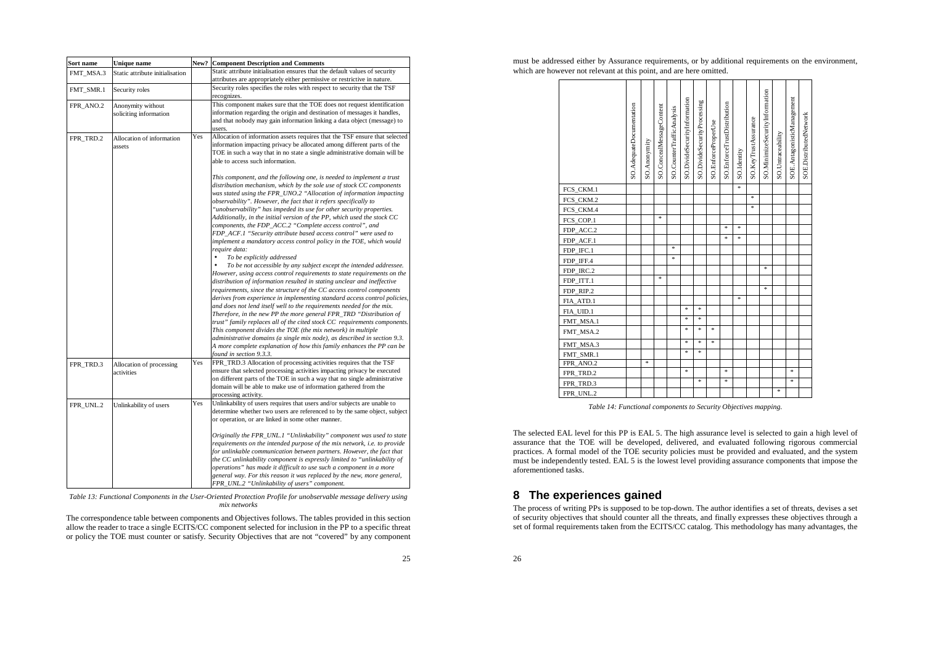| Static attribute initialisation ensures that the default values of security<br>attributes are appropriately either permissive or restrictive in nature.<br>Security roles specifies the roles with respect to security that the TSF |
|-------------------------------------------------------------------------------------------------------------------------------------------------------------------------------------------------------------------------------------|
|                                                                                                                                                                                                                                     |
|                                                                                                                                                                                                                                     |
|                                                                                                                                                                                                                                     |
|                                                                                                                                                                                                                                     |
| This component makes sure that the TOE does not request identification                                                                                                                                                              |
| information regarding the origin and destination of messages it handles,                                                                                                                                                            |
| and that nobody may gain information linking a data object (message) to                                                                                                                                                             |
|                                                                                                                                                                                                                                     |
| Allocation of information assets requires that the TSF ensure that selected                                                                                                                                                         |
| information impacting privacy be allocated among different parts of the                                                                                                                                                             |
| TOE in such a way that in no state a single administrative domain will be                                                                                                                                                           |
|                                                                                                                                                                                                                                     |
|                                                                                                                                                                                                                                     |
| This component, and the following one, is needed to implement a trust                                                                                                                                                               |
| distribution mechanism, which by the sole use of stock CC components                                                                                                                                                                |
| was stated using the FPR_UNO.2 "Allocation of information impacting                                                                                                                                                                 |
|                                                                                                                                                                                                                                     |
| "unobservability" has impeded its use for other security properties.                                                                                                                                                                |
| Additionally, in the initial version of the PP, which used the stock CC                                                                                                                                                             |
|                                                                                                                                                                                                                                     |
| FDP_ACF.1 "Security attribute based access control" were used to                                                                                                                                                                    |
| implement a mandatory access control policy in the TOE, which would                                                                                                                                                                 |
|                                                                                                                                                                                                                                     |
|                                                                                                                                                                                                                                     |
| To be not accessible by any subject except the intended addressee.                                                                                                                                                                  |
| However, using access control requirements to state requirements on the                                                                                                                                                             |
| distribution of information resulted in stating unclear and ineffective                                                                                                                                                             |
|                                                                                                                                                                                                                                     |
| requirements, since the structure of the CC access control components                                                                                                                                                               |
| derives from experience in implementing standard access control policies,                                                                                                                                                           |
| and does not lend itself well to the requirements needed for the mix.                                                                                                                                                               |
| Therefore, in the new PP the more general FPR_TRD "Distribution of                                                                                                                                                                  |
| trust" family replaces all of the cited stock CC requirements components.                                                                                                                                                           |
|                                                                                                                                                                                                                                     |
| administrative domains (a single mix node), as described in section 9.3.                                                                                                                                                            |
| A more complete explanation of how this family enhances the PP can be                                                                                                                                                               |
|                                                                                                                                                                                                                                     |
| FPR_TRD.3 Allocation of processing activities requires that the TSF                                                                                                                                                                 |
| ensure that selected processing activities impacting privacy be executed                                                                                                                                                            |
| on different parts of the TOE in such a way that no single administrative                                                                                                                                                           |
|                                                                                                                                                                                                                                     |
|                                                                                                                                                                                                                                     |
| Unlinkability of users requires that users and/or subjects are unable to                                                                                                                                                            |
| determine whether two users are referenced to by the same object, subject                                                                                                                                                           |
|                                                                                                                                                                                                                                     |
|                                                                                                                                                                                                                                     |
| Originally the FPR_UNL.1 "Unlinkability" component was used to state                                                                                                                                                                |
| requirements on the intended purpose of the mix network, i.e. to provide                                                                                                                                                            |
| for unlinkable communication between partners. However, the fact that                                                                                                                                                               |
| the CC unlinkability component is expressly limited to "unlinkability of                                                                                                                                                            |
| operations" has made it difficult to use such a component in a more                                                                                                                                                                 |
| general way. For this reason it was replaced by the new, more general,                                                                                                                                                              |
|                                                                                                                                                                                                                                     |
|                                                                                                                                                                                                                                     |

Table 13: Functional Components in the User-Oriented Protection Profile for unobservable message delivery using *mix networks*

The correspondence table between components and Objectives follows. The tables provided in this section allow the reader to trace <sup>a</sup> single ECITS/CC componen<sup>t</sup> selected for inclusion in the PP to <sup>a</sup> specific threat or policy the TOE must counter or satisfy. Security Objectives that are not "covered" by any componen<sup>t</sup> must be addressed either by Assurance requirements, or by additional requirements on the environment, which are however not relevant at this point, and are here omitted.

|           | SO.AdequateDocumentation | SO.Anonymity | SO.ConcealMessageContent | SO.CounterTrafficAnalysis | SO.DivideSecurityInformation | SO.DivideSecurityProcessing | SO.EnforceProperUse | SO.EnforceTrustDistribution | SO.Identity | SO.KeyTrustAssurance | SO.MinimizeSecurityInformation | SO.Untraceability | SOE.AntagonisticManagement | SOE.DistributedNetwork |
|-----------|--------------------------|--------------|--------------------------|---------------------------|------------------------------|-----------------------------|---------------------|-----------------------------|-------------|----------------------|--------------------------------|-------------------|----------------------------|------------------------|
| FCS_CKM.1 |                          |              |                          |                           |                              |                             |                     |                             | ×.          |                      |                                |                   |                            |                        |
| FCS_CKM.2 |                          |              |                          |                           |                              |                             |                     |                             |             | 字                    |                                |                   |                            |                        |
| FCS_CKM.4 |                          |              |                          |                           |                              |                             |                     |                             |             | $\ast$               |                                |                   |                            |                        |
| FCS_COP.1 |                          |              | $\approx$                |                           |                              |                             |                     |                             |             |                      |                                |                   |                            |                        |
| FDP_ACC.2 |                          |              |                          |                           |                              |                             |                     | $\approx$                   | $\approx$   |                      |                                |                   |                            |                        |
| FDP_ACF.1 |                          |              |                          |                           |                              |                             |                     | $\ast$                      | $\ast$      |                      |                                |                   |                            |                        |
| FDP_IFC.1 |                          |              |                          | 字                         |                              |                             |                     |                             |             |                      |                                |                   |                            |                        |
| FDP_IFF.4 |                          |              |                          | \$                        |                              |                             |                     |                             |             |                      |                                |                   |                            |                        |
| FDP_IRC.2 |                          |              |                          |                           |                              |                             |                     |                             |             |                      | \$                             |                   |                            |                        |
| FDP_ITT.1 |                          |              | ź.                       |                           |                              |                             |                     |                             |             |                      |                                |                   |                            |                        |
| FDP_RIP.2 |                          |              |                          |                           |                              |                             |                     |                             |             |                      | \$                             |                   |                            |                        |
| FIA_ATD.1 |                          |              |                          |                           |                              |                             |                     |                             | \$          |                      |                                |                   |                            |                        |
| FIA_UID.1 |                          |              |                          |                           | 字                            | *                           |                     |                             |             |                      |                                |                   |                            |                        |
| FMT_MSA.1 |                          |              |                          |                           | *                            | *                           |                     |                             |             |                      |                                |                   |                            |                        |
| FMT_MSA.2 |                          |              |                          |                           | 字                            | 字                           | 字                   |                             |             |                      |                                |                   |                            |                        |
| FMT_MSA.3 |                          |              |                          |                           | ź.                           | $\approx$                   | $\ast$              |                             |             |                      |                                |                   |                            |                        |
| FMT_SMR.1 |                          |              |                          |                           | ź.                           | $\ast$                      |                     |                             |             |                      |                                |                   |                            |                        |
| FPR_ANO.2 |                          | $\approx$    |                          |                           |                              |                             |                     |                             |             |                      |                                |                   |                            |                        |
| FPR_TRD.2 |                          |              |                          |                           | ź.                           |                             |                     | $\approx$                   |             |                      |                                |                   | ż.                         |                        |
| FPR_TRD.3 |                          |              |                          |                           |                              | $\ast$                      |                     | $\ast$                      |             |                      |                                |                   | \$                         |                        |
| FPR_UNL.2 |                          |              |                          |                           |                              |                             |                     |                             |             |                      |                                | \$                |                            |                        |

*Table 14: Functional components to Security Objectives mapping.*

The selected EAL level for this PP is EAL 5. The high assurance level is selected to gain <sup>a</sup> high level of assurance that the TOE will be developed, delivered, and evaluated following rigorous commercial practices. A formal model of the TOE security policies must be provided and evaluated, and the system must be independently tested. EAL 5 is the lowest level providing assurance components that impose the aforementioned tasks.

# **8 The experiences gained**

The process of writing PPs is supposed to be top-down. The author identifies <sup>a</sup> set of threats, devises <sup>a</sup> set of security objectives that should counter all the threats, and finally expresses these objectives through <sup>a</sup> set of formal requirements taken from the ECITS/CC catalog. This methodology has many advantages, the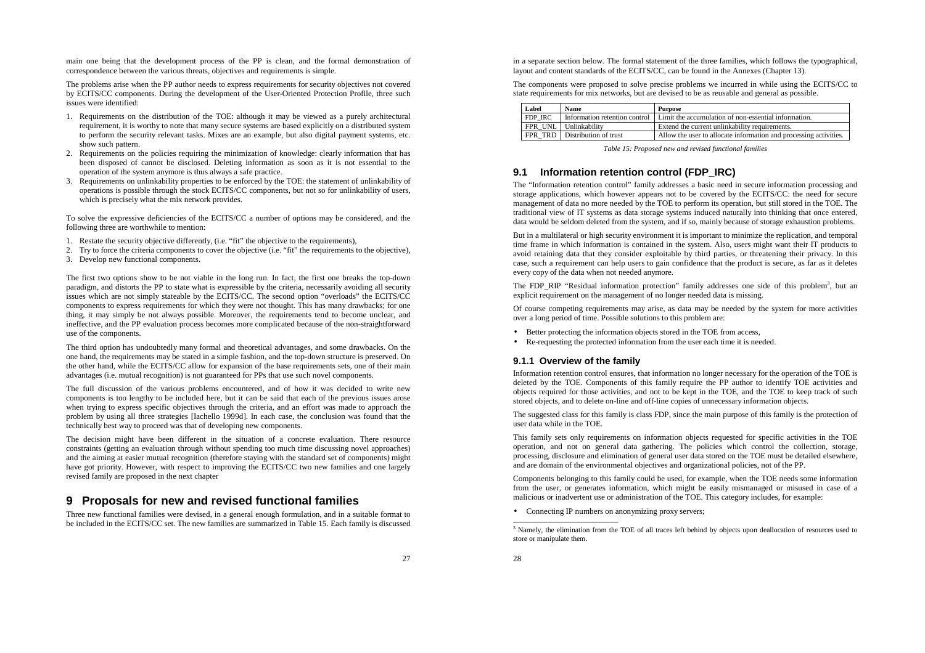main one being that the development process of the PP is clean, and the formal demonstration of correspondence between the various threats, objectives and requirements is simple.

The problems arise when the PP author needs to express requirements for security objectives not covered by ECITS/CC components. During the development of the User-Oriented Protection Profile, three such issues were identified:

- 1. Requirements on the distribution of the TOE: although it may be viewed as <sup>a</sup> purely architectural requirement, it is worthy to note that many secure systems are based explicitly on <sup>a</sup> distributed system to perform the security relevant tasks. Mixes are an example, but also digital paymen<sup>t</sup> systems, etc. show such pattern.
- 2. Requirements on the policies requiring the minimization of knowledge: clearly information that has been disposed of cannot be disclosed. Deleting information as soon as it is not essential to the operation of the system anymore is thus always <sup>a</sup> safe practice.
- 3. Requirements on unlinkability properties to be enforced by the TOE: the statement of unlinkability of operations is possible through the stock ECITS/CC components, but not so for unlinkability of users, which is precisely what the mix network provides.

To solve the expressive deficiencies of the ECITS/CC <sup>a</sup> number of options may be considered, and the following three are worthwhile to mention:

- 1. Restate the security objective differently, (i.e. "fit" the objective to the requirements),
- 2. Try to force the criteria components to cover the objective (i.e. "fit" the requirements to the objective),

3. Develop new functional components.

The first two options show to be not viable in the long run. In fact, the first one breaks the top-down paradigm, and distorts the PP to state what is expressible by the criteria, necessarily avoiding all security issues which are not simply stateable by the ECITS/CC. The second option "overloads" the ECITS/CC components to express requirements for which they were not thought. This has many drawbacks; for one thing, it may simply be not always possible. Moreover, the requirements tend to become unclear, and ineffective, and the PP evaluation process becomes more complicated because of the non-straightforward use of the components.

The third option has undoubtedly many formal and theoretical advantages, and some drawbacks. On the one hand, the requirements may be stated in <sup>a</sup> simple fashion, and the top-down structure is preserved. On the other hand, while the ECITS/CC allow for expansion of the base requirements sets, one of their main advantages (i.e. mutual recognition) is not guaranteed for PPs that use such novel components.

The full discussion of the various problems encountered, and of how it was decided to write new components is too lengthy to be included here, but it can be said that each of the previous issues arose when trying to express specific objectives through the criteria, and an effort was made to approach the problem by using all three strategies [Iachello 1999d]. In each case, the conclusion was found that the technically best way to proceed was that of developing new components.

The decision might have been different in the situation of <sup>a</sup> concrete evaluation. There resource constraints (getting an evaluation through without spending too much time discussing novel approaches) and the aiming at easier mutual recognition (therefore staying with the standard set of components) might have go<sup>t</sup> priority. However, with respec<sup>t</sup> to improving the ECITS/CC two new families and one largely revised family are proposed in the next chapter

# **9 Proposals for new and revised functional families**

Three new functional families were devised, in <sup>a</sup> general enough formulation, and in <sup>a</sup> suitable format to be included in the ECITS/CC set. The new families are summarized in Table 15. Each family is discussed

in <sup>a</sup> separate section below. The formal statement of the three families, which follows the typographical, layout and content standards of the ECITS/CC, can be found in the Annexes (Chapter 13).

The components were proposed to solve precise problems we incurred in while using the ECITS/CC to state requirements for mix networks, but are devised to be as reusable and general as possible.

| Label   | <b>Name</b>                   | <b>Purpose</b>                                                    |
|---------|-------------------------------|-------------------------------------------------------------------|
| FDP IRC | Information retention control | Limit the accumulation of non-essential information.              |
|         | FPR UNL Unlinkability         | Extend the current unlinkability requirements.                    |
|         | FPR TRD Distribution of trust | Allow the user to allocate information and processing activities. |

*Table 15: Proposed new and revised functional families*

#### **9.1 Information retention control (FDP\_IRC)**

The "Information retention control" family addresses <sup>a</sup> basic need in secure information processing and storage applications, which however appears not to be covered by the ECITS/CC: the need for secure managemen<sup>t</sup> of data no more needed by the TOE to perform its operation, but still stored in the TOE. The traditional view of IT systems as data storage systems induced naturally into thinking that once entered, data would be seldom deleted from the system, and if so, mainly because of storage exhaustion problems.

But in <sup>a</sup> multilateral or high security environment it is important to minimize the replication, and temporal time frame in which information is contained in the system. Also, users might want their IT products to avoid retaining data that they consider exploitable by third parties, or threatening their privacy. In this case, such <sup>a</sup> requirement can help users to gain confidence that the product is secure, as far as it deletes every copy of the data when not needed anymore.

The FDP RIP "Residual information protection" family addresses one side of this problem<sup>3</sup>, but an explicit requirement on the managemen<sup>t</sup> of no longer needed data is missing.

Of course competing requirements may arise, as data may be needed by the system for more activities over <sup>a</sup> long period of time. Possible solutions to this problem are:

- Better protecting the information objects stored in the TOE from access,
- Re-requesting the protected information from the user each time it is needed.

#### **9.1.1 Overview of the family**

28

Information retention control ensures, that information no longer necessary for the operation of the TOE is deleted by the TOE. Components of this family require the PP author to identify TOE activities and objects required for those activities, and not to be kept in the TOE, and the TOE to keep track of such stored objects, and to delete on-line and off-line copies of unnecessary information objects.

The suggested class for this family is class FDP, since the main purpose of this family is the protection of user data while in the TOE.

This family sets only requirements on information objects requested for specific activities in the TOE operation, and not on general data gathering. The policies which control the collection, storage, processing, disclosure and elimination of general user data stored on the TOE must be detailed elsewhere, and are domain of the environmental objectives and organizational policies, not of the PP.

Components belonging to this family could be used, for example, when the TOE needs some information from the user, or generates information, which might be easily mismanaged or misused in case of <sup>a</sup> malicious or inadvertent use or administration of the TOE. This category includes, for example:

• Connecting IP numbers on anonymizing proxy servers:

<sup>&</sup>lt;sup>3</sup> Namely, the elimination from the TOE of all traces left behind by objects upon deallocation of resources used to store or manipulate them.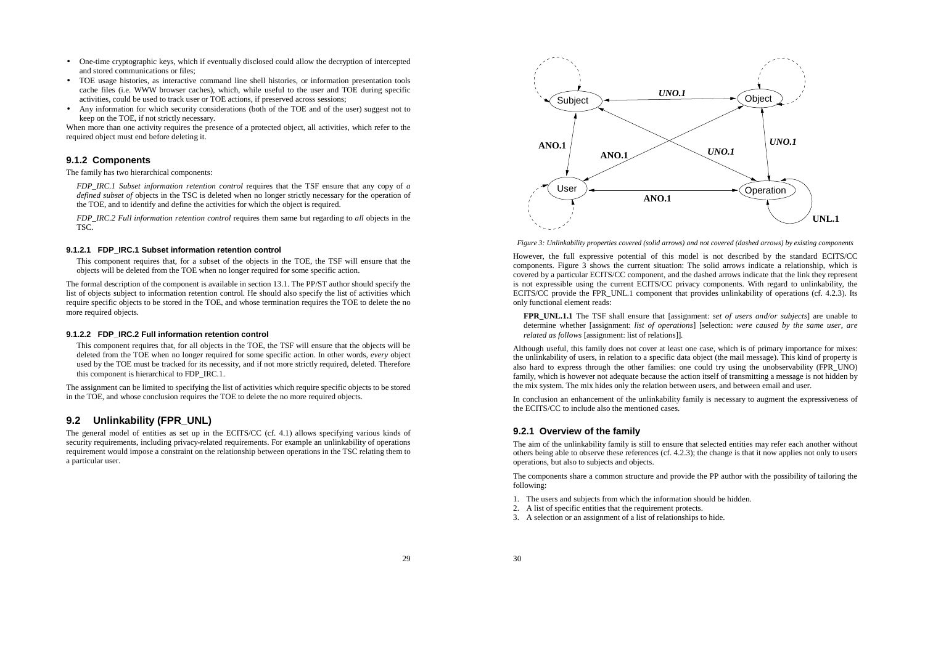- One-time cryptographic keys, which if eventually disclosed could allow the decryption of intercepted and stored communications or files;
- TOE usage histories, as interactive command line shell histories, or information presentation tools cache files (i.e. WWW browser caches), which, while useful to the user and TOE during specific activities, could be used to track user or TOE actions, if preserved across sessions;
- Any information for which security considerations (both of the TOE and of the user) suggest not to keep on the TOE, if not strictly necessary.

When more than one activity requires the presence of a protected object, all activities, which refer to the required object must end before deleting it.

#### **9.1.2 Components**

The family has two hierarchical components:

*FDP\_IRC.1 Subset information retention control* requires that the TSF ensure that any copy of *<sup>a</sup> defined subset of* objects in the TSC is deleted when no longer strictly necessary for the operation of the TOE, and to identify and define the activities for which the object is required.

*FDP\_IRC.2 Full information retention control* requires them same but regarding to *all* objects in the TSC.

#### **9.1.2.1 FDP\_IRC.1 Subset information retention control**

This componen<sup>t</sup> requires that, for <sup>a</sup> subset of the objects in the TOE, the TSF will ensure that the objects will be deleted from the TOE when no longer required for some specific action.

The formal description of the componen<sup>t</sup> is available in section 13.1. The PP/ST author should specify the list of objects subject to information retention control. He should also specify the list of activities which require specific objects to be stored in the TOE, and whose termination requires the TOE to delete the no more required objects.

#### **9.1.2.2 FDP\_IRC.2 Full information retention control**

This componen<sup>t</sup> requires that, for all objects in the TOE, the TSF will ensure that the objects will be deleted from the TOE when no longer required for some specific action. In other words, *every* object used by the TOE must be tracked for its necessity, and if not more strictly required, deleted. Therefore this componen<sup>t</sup> is hierarchical to FDP\_IRC.1.

The assignment can be limited to specifying the list of activities which require specific objects to be stored in the TOE, and whose conclusion requires the TOE to delete the no more required objects.

# **9.2 Unlinkability (FPR\_UNL)**

The general model of entities as set up in the ECITS/CC (cf. 4.1) allows specifying various kinds of security requirements, including privacy-related requirements. For example an unlinkability of operations requirement would impose <sup>a</sup> constraint on the relationship between operations in the TSC relating them to <sup>a</sup> particular user.



Figure 3: Unlinkability properties covered (solid arrows) and not covered (dashed arrows) by existing components

However, the full expressive potential of this model is not described by the standard ECITS/CC components. Figure 3 shows the current situation: The solid arrows indicate <sup>a</sup> relationship, which is covered by <sup>a</sup> particular ECITS/CC component, and the dashed arrows indicate that the link they represen<sup>t</sup> is not expressible using the current ECITS/CC privacy components. With regard to unlinkability, the ECITS/CC provide the FPR\_UNL.1 component that provides unlinkability of operations (cf. 4.2.3). Its only functional element reads:

**FPR\_UNL.1.1** The TSF shall ensure that [assignment: *set of users and/or subjects*] are unable to determine whether [assignment: list of operations] [selection: were caused by the same user, are *related as follows* [assignment: list of relations]]*.*

Although useful, this family does not cover at least one case, which is of primary importance for mixes: the unlinkability of users, in relation to <sup>a</sup> specific data object (the mail message). This kind of property is also hard to express through the other families: one could try using the unobservability (FPR\_UNO) family, which is however not adequate because the action itself of transmitting <sup>a</sup> message is not hidden by the mix system. The mix hides only the relation between users, and between email and user.

In conclusion an enhancement of the unlinkability family is necessary to augmen<sup>t</sup> the expressiveness of the ECITS/CC to include also the mentioned cases.

# **9.2.1 Overview of the family**

The aim of the unlinkability family is still to ensure that selected entities may refer each another without others being able to observe these references (cf. 4.2.3); the change is that it now applies not only to users operations, but also to subjects and objects.

The components share <sup>a</sup> common structure and provide the PP author with the possibility of tailoring the following:

- 1. The users and subjects from which the information should be hidden.
- 2. A list of specific entities that the requirement protects.
- 3. A selection or an assignment of <sup>a</sup> list of relationships to hide.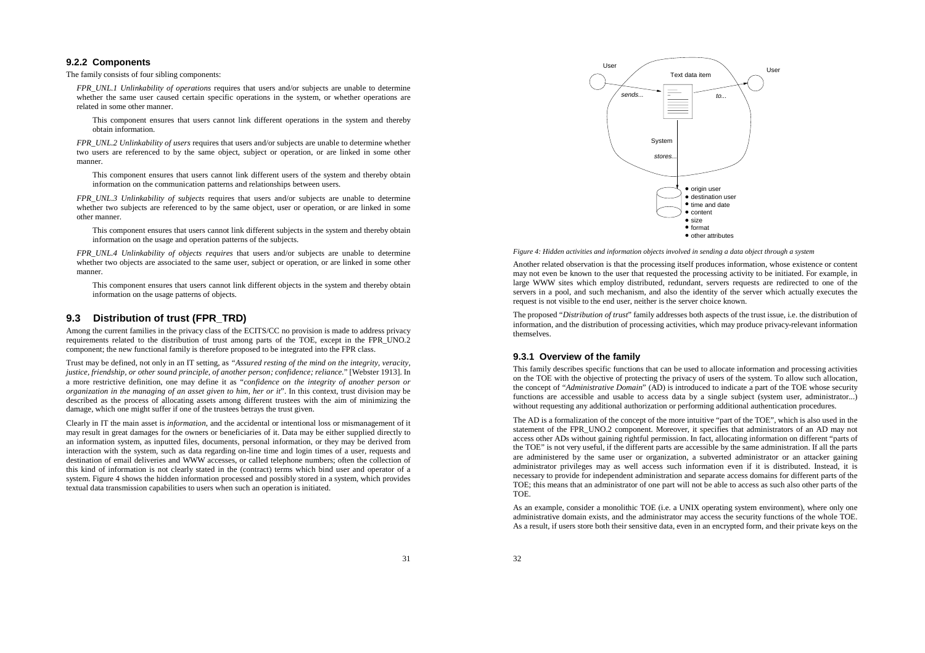#### **9.2.2 Components**

The family consists of four sibling components:

*FPR\_UNL.1 Unlinkability of operations* requires that users and/or subjects are unable to determine whether the same user caused certain specific operations in the system, or whether operations are related in some other manner.

This componen<sup>t</sup> ensures that users cannot link different operations in the system and thereby obtain information.

*FPR\_UNL.2 Unlinkability of users* requires that users and/or subjects are unable to determine whether two users are referenced to by the same object, subject or operation, or are linked in some other manner.

This componen<sup>t</sup> ensures that users cannot link different users of the system and thereby obtain information on the communication patterns and relationships between users.

*FPR\_UNL.3 Unlinkability of subjects* requires that users and/or subjects are unable to determine whether two subjects are referenced to by the same object, user or operation, or are linked in some other manner.

This componen<sup>t</sup> ensures that users cannot link different subjects in the system and thereby obtain information on the usage and operation patterns of the subjects.

*FPR\_UNL.4 Unlinkability of objects requires* that users and/or subjects are unable to determine whether two objects are associated to the same user, subject or operation, or are linked in some other manner.

This componen<sup>t</sup> ensures that users cannot link different objects in the system and thereby obtain information on the usage patterns of objects.

# **9.3 Distribution of trust (FPR\_TRD)**

Among the current families in the privacy class of the ECITS/CC no provision is made to address privacy requirements related to the distribution of trust among parts of the TOE, excep<sup>t</sup> in the FPR\_UNO.2 component; the new functional family is therefore proposed to be integrated into the FPR class.

Trust may be defined, not only in an IT setting, as "Assured resting of the mind on the integrity, veracity, justice, friendship, or other sound principle, of another person; confidence; reliance." [Webster 1913]. In <sup>a</sup> more restrictive definition, one may define it as "*confidence on the integrity of another person or* organization in the managing of an asset given to him, her or it". In this context, trust division may be described as the process of allocating assets among different trustees with the aim of minimizing the damage, which one might suffer if one of the trustees betrays the trust given.

Clearly in IT the main asset is *information*, and the accidental or intentional loss or mismanagement of it may result in grea<sup>t</sup> damages for the owners or beneficiaries of it. Data may be either supplied directly to an information system, as inputted files, documents, personal information, or they may be derived from interaction with the system, such as data regarding on-line time and login times of <sup>a</sup> user, requests and destination of email deliveries and WWW accesses, or called telephone numbers; often the collection of this kind of information is not clearly stated in the (contract) terms which bind user and operator of <sup>a</sup> system. Figure 4 shows the hidden information processed and possibly stored in <sup>a</sup> system, which provides textual data transmission capabilities to users when such an operation is initiated.



Figure 4: Hidden activities and information objects involved in sending a data object through a system

Another related observation is that the processing itself produces information, whose existence or content may not even be known to the user that requested the processing activity to be initiated. For example, in large WWW sites which employ distributed, redundant, servers requests are redirected to one of the servers in <sup>a</sup> pool, and such mechanism, and also the identity of the server which actually executes the reques<sup>t</sup> is not visible to the end user, neither is the server choice known.

The proposed "*Distribution of trust*" family addresses both aspects of the trust issue, i.e. the distribution of information, and the distribution of processing activities, which may produce privacy-relevant information themselves.

#### **9.3.1 Overview of the family**

32

This family describes specific functions that can be used to allocate information and processing activities on the TOE with the objective of protecting the privacy of users of the system. To allow such allocation, the concep<sup>t</sup> of "*Administrative Domain*" (AD) is introduced to indicate <sup>a</sup> par<sup>t</sup> of the TOE whose security functions are accessible and usable to access data by a single subject (system user, administrator...) without requesting any additional authorization or performing additional authentication procedures.

The AD is <sup>a</sup> formalization of the concep<sup>t</sup> of the more intuitive "part of the TOE", which is also used in the statement of the FPR\_UNO.2 component. Moreover, it specifies that administrators of an AD may not access other ADs without gaining rightful permission. In fact, allocating information on different "parts of the TOE" is not very useful, if the different parts are accessible by the same administration. If all the parts are administered by the same user or organization, <sup>a</sup> subverted administrator or an attacker gaining administrator privileges may as well access such information even if it is distributed. Instead, it is necessary to provide for independent administration and separate access domains for different parts of the TOE; this means that an administrator of one par<sup>t</sup> will not be able to access as such also other parts of the TOE.

As an example, consider <sup>a</sup> monolithic TOE (i.e. <sup>a</sup> UNIX operating system environment), where only one administrative domain exists, and the administrator may access the security functions of the whole TOE. As <sup>a</sup> result, if users store both their sensitive data, even in an encrypted form, and their private keys on the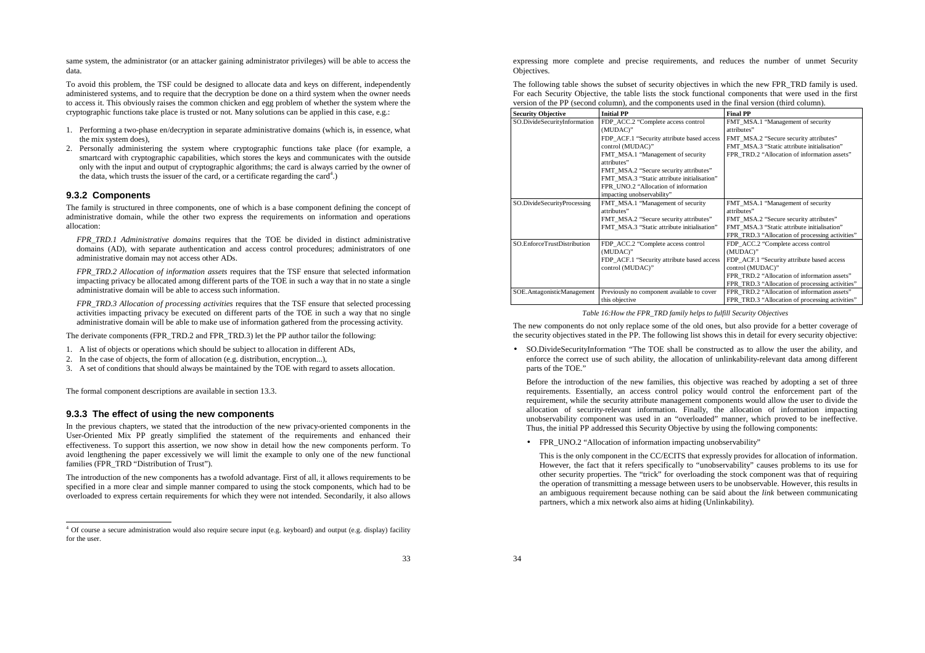same system, the administrator (or an attacker gaining administrator privileges) will be able to access the data.

To avoid this problem, the TSF could be designed to allocate data and keys on different, independently administered systems, and to require that the decryption be done on <sup>a</sup> third system when the owner needs to access it. This obviously raises the common chicken and egg problem of whether the system where the cryptographic functions take place is trusted or not. Many solutions can be applied in this case, e.g.:

- 1. Performing <sup>a</sup> two-phase en/decryption in separate administrative domains (which is, in essence, what the mix system does),
- 2. Personally administering the system where cryptographic functions take place (for example, <sup>a</sup> smartcard with cryptographic capabilities, which stores the keys and communicates with the outside only with the input and output of cryptographic algorithms; the card is always carried by the owner of the data, which trusts the issuer of the card, or a certificate regarding the card<sup>4</sup>.)

#### **9.3.2 Components**

The family is structured in three components, one of which is <sup>a</sup> base componen<sup>t</sup> defining the concep<sup>t</sup> of administrative domain, while the other two express the requirements on information and operations allocation:

*FPR\_TRD.1 Administrative domains* requires that the TOE be divided in distinct administrative domains (AD), with separate authentication and access control procedures; administrators of one administrative domain may not access other ADs.

*FPR\_TRD.2 Allocation of information assets* requires that the TSF ensure that selected information impacting privacy be allocated among different parts of the TOE in such <sup>a</sup> way that in no state <sup>a</sup> single administrative domain will be able to access such information.

*FPR\_TRD.3 Allocation of processing activities* requires that the TSF ensure that selected processing activities impacting privacy be executed on different parts of the TOE in such <sup>a</sup> way that no single administrative domain will be able to make use of information gathered from the processing activity.

The derivate components (FPR\_TRD.2 and FPR\_TRD.3) let the PP author tailor the following:

- 1. A list of objects or operations which should be subject to allocation in different ADs,
- 2. In the case of objects, the form of allocation (e.g. distribution, encryption...),
- 3. A set of conditions that should always be maintained by the TOE with regard to assets allocation.

The formal componen<sup>t</sup> descriptions are available in section 13.3.

#### **9.3.3 The effect of using the new components**

In the previous chapters, we stated that the introduction of the new privacy-oriented components in the User-Oriented Mix PP greatly simplified the statement of the requirements and enhanced their effectiveness. To suppor<sup>t</sup> this assertion, we now show in detail how the new components perform. To avoid lengthening the paper excessively we will limit the example to only one of the new functional families (FPR\_TRD "Distribution of Trust").

The introduction of the new components has <sup>a</sup> twofold advantage. First of all, it allows requirements to be specified in <sup>a</sup> more clear and simple manner compared to using the stock components, which had to be overloaded to express certain requirements for which they were not intended. Secondarily, it also allows

expressing more complete and precise requirements, and reduces the number of unmet Security Objectives.

The following table shows the subset of security objectives in which the new FPR\_TRD family is used. For each Security Objective, the table lists the stock functional components that were used in the first version of the PP (second column), and the components used in the final version (third column).

| <b>Security Objective</b>    | <b>Initial PP</b>                           | <b>Final PP</b>                                 |  |  |  |
|------------------------------|---------------------------------------------|-------------------------------------------------|--|--|--|
| SO.DivideSecurityInformation | FDP ACC.2 "Complete access control          | FMT MSA.1 "Management of security               |  |  |  |
|                              | (MUDAC)"                                    | attributes"                                     |  |  |  |
|                              | FDP ACF.1 "Security attribute based access  | FMT_MSA.2 "Secure security attributes"          |  |  |  |
|                              | control (MUDAC)"                            | FMT MSA.3 "Static attribute initialisation"     |  |  |  |
|                              | FMT MSA.1 "Management of security           | FPR TRD.2 "Allocation of information assets"    |  |  |  |
|                              | attributes"                                 |                                                 |  |  |  |
|                              | FMT MSA.2 "Secure security attributes"      |                                                 |  |  |  |
|                              | FMT MSA.3 "Static attribute initialisation" |                                                 |  |  |  |
|                              | FPR UNO.2 "Allocation of information        |                                                 |  |  |  |
|                              | impacting unobservability"                  |                                                 |  |  |  |
| SO.DivideSecurityProcessing  | FMT MSA.1 "Management of security           | FMT_MSA.1 "Management of security               |  |  |  |
|                              | attributes"                                 | attributes"                                     |  |  |  |
|                              | FMT MSA.2 "Secure security attributes"      | FMT MSA.2 "Secure security attributes"          |  |  |  |
|                              | FMT MSA.3 "Static attribute initialisation" | FMT MSA.3 "Static attribute initialisation"     |  |  |  |
|                              |                                             | FPR TRD.3 "Allocation of processing activities" |  |  |  |
| SO.EnforceTrustDistribution  | FDP ACC.2 "Complete access control          | FDP ACC.2 "Complete access control              |  |  |  |
|                              | (MUDAC)"                                    | (MUDAC)"                                        |  |  |  |
|                              | FDP ACF.1 "Security attribute based access  | FDP_ACF.1 "Security attribute based access      |  |  |  |
|                              | control (MUDAC)"                            | control (MUDAC)"                                |  |  |  |
|                              |                                             | FPR TRD.2 "Allocation of information assets"    |  |  |  |
|                              |                                             | FPR TRD.3 "Allocation of processing activities" |  |  |  |
| SOE.AntagonisticManagement   | Previously no component available to cover  | FPR TRD.2 "Allocation of information assets"    |  |  |  |
|                              | this objective                              | FPR TRD.3 "Allocation of processing activities" |  |  |  |

*Table 16:How the FPR\_TRD family helps to fulfill Security Objectives*

The new components do not only replace some of the old ones, but also provide for <sup>a</sup> better coverage of the security objectives stated in the PP. The following list shows this in detail for every security objective:

• SO.DivideSecurityInformation "The TOE shall be constructed as to allow the user the ability, and enforce the correct use of such ability, the allocation of unlinkability-relevant data among different parts of the TOE."

Before the introduction of the new families, this objective was reached by adopting <sup>a</sup> set of three requirements. Essentially, an access control policy would control the enforcement par<sup>t</sup> of the requirement, while the security attribute managemen<sup>t</sup> components would allow the user to divide the allocation of security-relevant information. Finally, the allocation of information impacting unobservability componen<sup>t</sup> was used in an "overloaded" manner, which proved to be ineffective. Thus, the initial PP addressed this Security Objective by using the following components:

• FPR\_UNO.2 "Allocation of information impacting unobservability"

This is the only componen<sup>t</sup> in the CC/ECITS that expressly provides for allocation of information. However, the fact that it refers specifically to "unobservability" causes problems to its use for other security properties. The "trick" for overloading the stock componen<sup>t</sup> was that of requiring the operation of transmitting <sup>a</sup> message between users to be unobservable. However, this results in an ambiguous requirement because nothing can be said about the *link* between communicating partners, which <sup>a</sup> mix network also aims at hiding (Unlinkability).

<sup>4</sup> Of course <sup>a</sup> secure administration would also require secure input (e.g. keyboard) and output (e.g. display) facility for the user.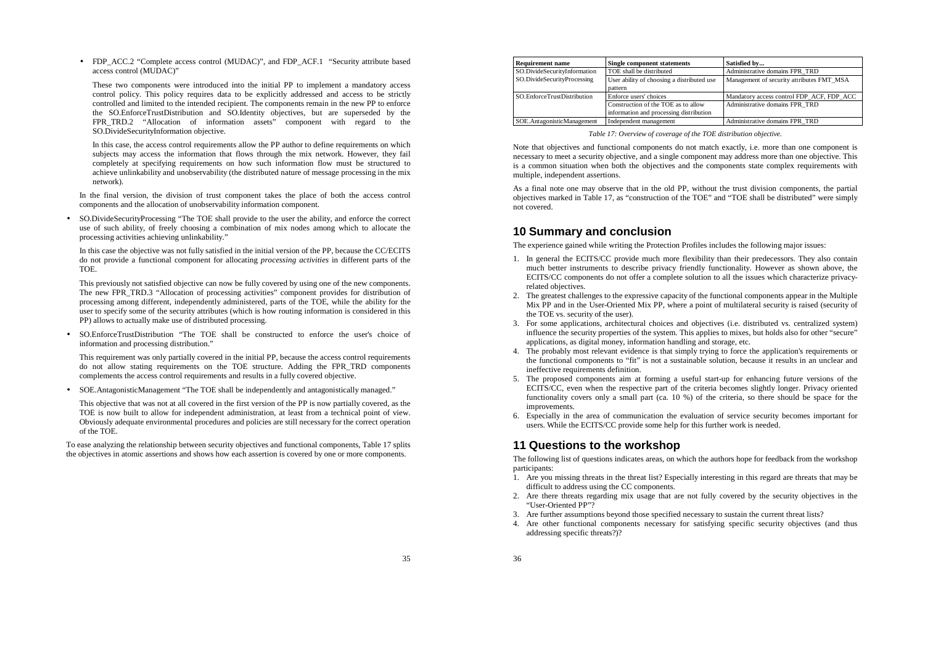• FDP\_ACC.2 "Complete access control (MUDAC)", and FDP\_ACF.1 "Security attribute based access control (MUDAC)"

These two components were introduced into the initial PP to implement <sup>a</sup> mandatory access control policy. This policy requires data to be explicitly addressed and access to be strictly controlled and limited to the intended recipient. The components remain in the new PP to enforce the SO.EnforceTrustDistribution and SO.Identity objectives, but are superseded by the FPR TRD.2 "Allocation of information assets" component with regard to the SO.DivideSecurityInformation objective.

In this case, the access control requirements allow the PP author to define requirements on which subjects may access the information that flows through the mix network. However, they fail completely at specifying requirements on how such information flow must be structured to achieve unlinkability and unobservability (the distributed nature of message processing in the mix network).

In the final version, the division of trust componen<sup>t</sup> takes the place of both the access control components and the allocation of unobservability information component.

• SO.DivideSecurityProcessing "The TOE shall provide to the user the ability, and enforce the correct use of such ability, of freely choosing <sup>a</sup> combination of mix nodes among which to allocate the processing activities achieving unlinkability."

In this case the objective was not fully satisfied in the initial version of the PP, because the CC/ECITS do not provide <sup>a</sup> functional componen<sup>t</sup> for allocating *processing activities* in different parts of the TOE.

This previously not satisfied objective can now be fully covered by using one of the new components. The new FPR\_TRD.3 "Allocation of processing activities" componen<sup>t</sup> provides for distribution of processing among different, independently administered, parts of the TOE, while the ability for the user to specify some of the security attributes (which is how routing information is considered in this PP) allows to actually make use of distributed processing.

• SO.EnforceTrustDistribution "The TOE shall be constructed to enforce the user's choice ofinformation and processing distribution."

This requirement was only partially covered in the initial PP, because the access control requirements do not allow stating requirements on the TOE structure. Adding the FPR\_TRD components complements the access control requirements and results in <sup>a</sup> fully covered objective.

• SOE.AntagonisticManagement "The TOE shall be independently and antagonistically managed."

This objective that was not at all covered in the first version of the PP is now partially covered, as the TOE is now built to allow for independent administration, at least from <sup>a</sup> technical point of view. Obviously adequate environmental procedures and policies are still necessary for the correct operation of the TOE.

To ease analyzing the relationship between security objectives and functional components, Table 17 splits the objectives in atomic assertions and shows how each assertion is covered by one or more components.

| <b>Requirement name</b>      | Single component statements                           | Satisfied by                              |
|------------------------------|-------------------------------------------------------|-------------------------------------------|
| SO.DivideSecurityInformation | TOE shall be distributed                              | Administrative domains FPR TRD            |
| SO.DivideSecurityProcessing  | User ability of choosing a distributed use<br>pattern | Management of security attributes FMT MSA |
| SO.EnforceTrustDistribution  | Enforce users' choices                                | Mandatory access control FDP ACF, FDP ACC |
|                              | Construction of the TOE as to allow                   | Administrative domains FPR TRD            |
|                              | information and processing distribution               |                                           |
| SOE.AntagonisticManagement   | Independent management                                | Administrative domains FPR TRD            |

*Table 17: Overview of coverage of the TOE distribution objective.*

Note that objectives and functional components do not match exactly, i.e. more than one componen<sup>t</sup> is necessary to meet <sup>a</sup> security objective, and <sup>a</sup> single componen<sup>t</sup> may address more than one objective. This is <sup>a</sup> common situation when both the objectives and the components state complex requirements with multiple, independent assertions.

As <sup>a</sup> final note one may observe that in the old PP, without the trust division components, the partial objectives marked in Table 17, as "construction of the TOE" and "TOE shall be distributed" were simply not covered.

# **10 Summary and conclusion**

The experience gained while writing the Protection Profiles includes the following major issues:

- 1. In general the ECITS/CC provide much more flexibility than their predecessors. They also contain much better instruments to describe privacy friendly functionality. However as shown above, the ECITS/CC components do not offer <sup>a</sup> complete solution to all the issues which characterize privacyrelated objectives.
- 2. The greatest challenges to the expressive capacity of the functional components appear in the Multiple Mix PP and in the User-Oriented Mix PP, where <sup>a</sup> point of multilateral security is raised (security of the TOE vs. security of the user).
- 3. For some applications, architectural choices and objectives (i.e. distributed vs. centralized system) influence the security properties of the system. This applies to mixes, but holds also for other "secure" applications, as digital money, information handling and storage, etc.
- 4. The probably most relevant evidence is that simply trying to force the application's requirements or the functional components to "fit" is not <sup>a</sup> sustainable solution, because it results in an unclear and ineffective requirements definition.
- 5. The proposed components aim at forming <sup>a</sup> useful start-up for enhancing future versions of the ECITS/CC, even when the respective par<sup>t</sup> of the criteria becomes slightly longer. Privacy oriented functionality covers only <sup>a</sup> small par<sup>t</sup> (ca. 10 %) of the criteria, so there should be space for the improvements.
- 6. Especially in the area of communication the evaluation of service security becomes important for users. While the ECITS/CC provide some help for this further work is needed.

# **11 Questions to the workshop**

36

The following list of questions indicates areas, on which the authors hope for feedback from the workshop participants:

- 1. Are you missing threats in the threat list? Especially interesting in this regard are threats that may be difficult to address using the CC components.
- 2. Are there threats regarding mix usage that are not fully covered by the security objectives in the "User-Oriented PP"?
- 3. Are further assumptions beyond those specified necessary to sustain the current threat lists?
- 4. Are other functional components necessary for satisfying specific security objectives (and thus addressing specific threats?)?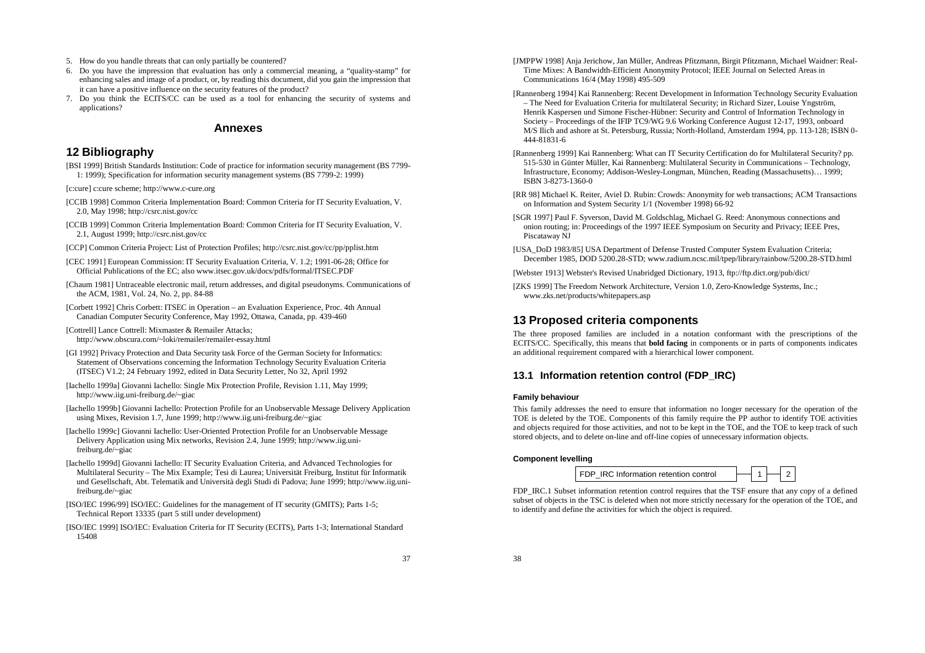- 5. How do you handle threats that can only partially be countered?
- 6. Do you have the impression that evaluation has only <sup>a</sup> commercial meaning, <sup>a</sup> "quality-stamp" for enhancing sales and image of <sup>a</sup> product, or, by reading this document, did you gain the impression that it can have <sup>a</sup> positive influence on the security features of the product?
- 7. Do you think the ECITS/CC can be used as <sup>a</sup> tool for enhancing the security of systems and applications?

### **Annexes**

# **12 Bibliography**

- [BSI 1999] British Standards Institution: Code of practice for information security managemen<sup>t</sup> (BS 7799- 1: 1999); Specification for information security managemen<sup>t</sup> systems (BS 7799-2: 1999)
- [c:cure] c:cure scheme; http://www.c-cure.org
- [CCIB 1998] Common Criteria Implementation Board: Common Criteria for IT Security Evaluation, V. 2.0, May 1998; http://csrc.nist.gov/cc
- [CCIB 1999] Common Criteria Implementation Board: Common Criteria for IT Security Evaluation, V. 2.1, August 1999; http://csrc.nist.gov/cc
- [CCP] Common Criteria Project: List of Protection Profiles; http://csrc.nist.gov/cc/pp/pplist.htm
- [CEC 1991] European Commission: IT Security Evaluation Criteria, V. 1.2; 1991-06-28; Office for Official Publications of the EC; also www.itsec.gov.uk/docs/pdfs/formal/ITSEC.PDF
- [Chaum 1981] Untraceable electronic mail, return addresses, and digital pseudonyms. Communications of the ACM, 1981, Vol. 24, No. 2, pp. 84-88
- [Corbett 1992] Chris Corbett: ITSEC in Operation an Evaluation Experience, Proc. 4th Annual Canadian Computer Security Conference, May 1992, Ottawa, Canada, pp. 439-460
- [Cottrell] Lance Cottrell: Mixmaster & Remailer Attacks; http://www.obscura.com/~loki/remailer/remailer-essay.html
- [GI 1992] Privacy Protection and Data Security task Force of the German Society for Informatics: Statement of Observations concerning the Information Technology Security Evaluation Criteria (ITSEC) V1.2; 24 February 1992, edited in Data Security Letter, No 32, April 1992
- [Iachello 1999a] Giovanni Iachello: Single Mix Protection Profile, Revision 1.11, May 1999; http://www.iig.uni-freiburg.de/~giac
- [Iachello 1999b] Giovanni Iachello: Protection Profile for an Unobservable Message Delivery Application using Mixes, Revision 1.7, June 1999; http://www.iig.uni-freiburg.de/~giac
- [Iachello 1999c] Giovanni Iachello: User-Oriented Protection Profile for an Unobservable Message Delivery Application using Mix networks, Revision 2.4, June 1999; http://www.iig.unifreiburg.de/~giac
- [Iachello 1999d] Giovanni Iachello: IT Security Evaluation Criteria, and Advanced Technologies for Multilateral Security – The Mix Example; Tesi di Laurea; Universität Freiburg, Institut für Informatik und Gesellschaft, Abt. Telematik and Università degli Studi di Padova; June 1999; http://www.iig.unifreiburg.de/~giac
- [ISO/IEC 1996/99] ISO/IEC: Guidelines for the managemen<sup>t</sup> of IT security (GMITS); Parts 1-5; Technical Report 13335 (part 5 still under development)
- [ISO/IEC 1999] ISO/IEC: Evaluation Criteria for IT Security (ECITS), Parts 1-3; International Standard 15408
- [JMPPW 1998] Anja Jerichow, Jan Müller, Andreas Pfitzmann, Birgit Pfitzmann, Michael Waidner: Real-Time Mixes: A Bandwidth-Efficient Anonymity Protocol; IEEE Journal on Selected Areas in Communications 16/4 (May 1998) 495-509
- [Rannenberg 1994] Kai Rannenberg: Recent Development in Information Technology Security Evaluation – The Need for Evaluation Criteria for multilateral Security; in Richard Sizer, Louise Yngström, Henrik Kaspersen und Simone Fischer-Hübner: Security and Control of Information Technology in Society – Proceedings of the IFIP TC9/WG 9.6 Working Conference August 12-17, 1993, onboard M/S Ilich and ashore at St. Petersburg, Russia; North-Holland, Amsterdam 1994, pp. 113-128; ISBN 0- 444-81831-6
- [Rannenberg 1999] Kai Rannenberg: What can IT Security Certification do for Multilateral Security? pp. 515-530 in Günter Müller, Kai Rannenberg: Multilateral Security in Communications – Technology, Infrastructure, Economy; Addison-Wesley-Longman, München, Reading (Massachusetts)… 1999; ISBN 3-8273-1360-0
- [RR 98] Michael K. Reiter, Aviel D. Rubin: Crowds: Anonymity for web transactions; ACM Transactions on Information and System Security 1/1 (November 1998) 66-92
- [SGR 1997] Paul F. Syverson, David M. Goldschlag, Michael G. Reed: Anonymous connections and onion routing; in: Proceedings of the 1997 IEEE Symposium on Security and Privacy; IEEE Pres, Piscataway NJ
- [USA\_DoD 1983/85] USA Department of Defense Trusted Computer System Evaluation Criteria; December 1985, DOD 5200.28-STD; www.radium.ncsc.mil/tpep/library/rainbow/5200.28-STD.html
- [Webster 1913] Webster's Revised Unabridged Dictionary, 1913, ftp://ftp.dict.org/pub/dict/
- [ZKS 1999] The Freedom Network Architecture, Version 1.0, Zero-Knowledge Systems, Inc.; www.zks.net/products/whitepapers.asp

# **13 Proposed criteria components**

The three proposed families are included in <sup>a</sup> notation conformant with the prescriptions of the ECITS/CC. Specifically, this means that **bold facing** in components or in parts of components indicates an additional requirement compared with <sup>a</sup> hierarchical lower component.

# **13.1 Information retention control (FDP\_IRC)**

#### **Family behaviour**

This family addresses the need to ensure that information no longer necessary for the operation of the TOE is deleted by the TOE. Components of this family require the PP author to identify TOE activities and objects required for those activities, and not to be kept in the TOE, and the TOE to keep track of such stored objects, and to delete on-line and off-line copies of unnecessary information objects.

#### **Component levelling**

38

FDP\_IRC Information retention control  $\rightarrow$  1  $\rightarrow$  2

FDP\_IRC.1 Subset information retention control requires that the TSF ensure that any copy of a defined subset of objects in the TSC is deleted when not more strictly necessary for the operation of the TOE, and to identify and define the activities for which the object is required.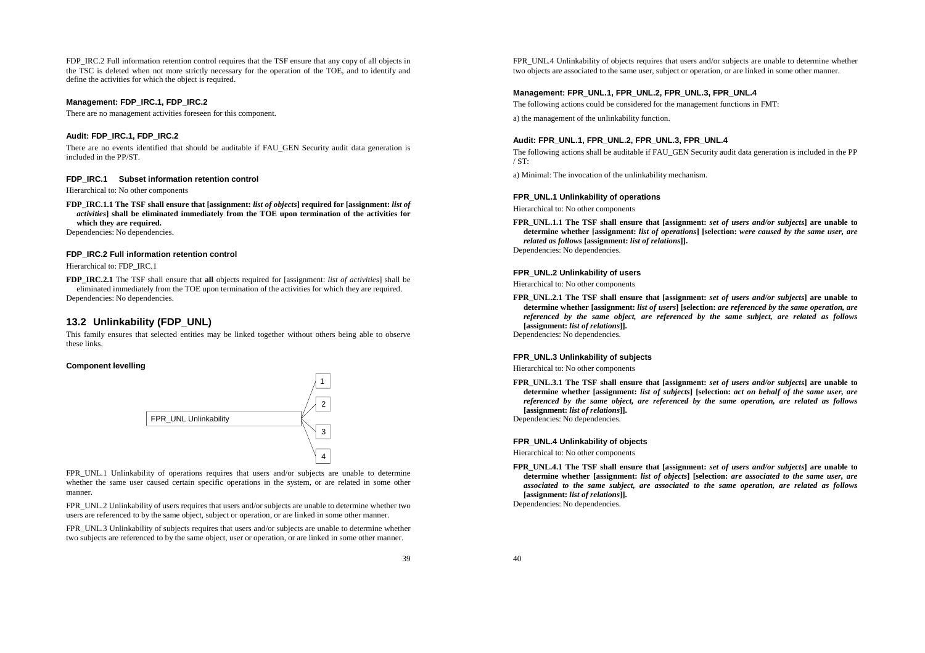FDP\_IRC.2 Full information retention control requires that the TSF ensure that any copy of all objects in the TSC is deleted when not more strictly necessary for the operation of the TOE, and to identify and define the activities for which the object is required.

#### **Management: FDP\_IRC.1, FDP\_IRC.2**

There are no managemen<sup>t</sup> activities foreseen for this component.

#### **Audit: FDP\_IRC.1, FDP\_IRC.2**

There are no events identified that should be auditable if FAU GEN Security audit data generation is included in the PP/ST.

#### **FDP\_IRC.1 Subset information retention control**

Hierarchical to: No other components

FDP IRC.1.1 The TSF shall ensure that [assignment: list of objects] required for [assignment: list of *activities*] shall be eliminated immediately from the TOE upon termination of the activities for **which they are required.**

Dependencies: No dependencies.

#### **FDP\_IRC.2 Full information retention control**

Hierarchical to: FDP\_IRC.1

**FDP\_IRC.2.1** The TSF shall ensure that **all** objects required for [assignment: *list of activities*] shall be eliminated immediately from the TOE upon termination of the activities for which they are required. Dependencies: No dependencies.

# **13.2 Unlinkability (FDP\_UNL)**

This family ensures that selected entities may be linked together without others being able to observe these links.

#### **Component levelling**



FPR\_UNL.1 Unlinkability of operations requires that users and/or subjects are unable to determine whether the same user caused certain specific operations in the system, or are related in some other manner.

FPR\_UNL.2 Unlinkability of users requires that users and/or subjects are unable to determine whether two users are referenced to by the same object, subject or operation, or are linked in some other manner.

FPR\_UNL.3 Unlinkability of subjects requires that users and/or subjects are unable to determine whether two subjects are referenced to by the same object, user or operation, or are linked in some other manner.

FPR\_UNL.4 Unlinkability of objects requires that users and/or subjects are unable to determine whether two objects are associated to the same user, subject or operation, or are linked in some other manner.

#### **Management: FPR\_UNL.1, FPR\_UNL.2, FPR\_UNL.3, FPR\_UNL.4**

The following actions could be considered for the managemen<sup>t</sup> functions in FMT:

a) the managemen<sup>t</sup> of the unlinkability function.

#### **Audit: FPR\_UNL.1, FPR\_UNL.2, FPR\_UNL.3, FPR\_UNL.4**

The following actions shall be auditable if FAU\_GEN Security audit data generation is included in the PP / ST:

a) Minimal: The invocation of the unlinkability mechanism.

#### **FPR\_UNL.1 Unlinkability of operations**

Hierarchical to: No other components

FPR UNL.1.1 The TSF shall ensure that [assignment: set of users and/or subjects] are unable to determine whether [assignment: list of operations] [selection: were caused by the same user, are *related as follows* **[assignment:** *list of relations***]].** Dependencies: No dependencies.

**FPR\_UNL.2 Unlinkability of users**

Hierarchical to: No other components

FPR UNL.2.1 The TSF shall ensure that [assignment: set of users and/or subjects] are unable to determine whether [assignment: list of users] [selection: are referenced by the same operation, are referenced by the same object, are referenced by the same subject, are related as follows **[assignment:** *list of relations***]].**

Dependencies: No dependencies.

#### **FPR\_UNL.3 Unlinkability of subjects**

Hierarchical to: No other components

FPR\_UNL.3.1 The TSF shall ensure that [assignment: set of users and/or subjects] are unable to determine whether [assignment: list of subjects] [selection: act on behalf of the same user, are referenced by the same object, are referenced by the same operation, are related as follows **[assignment:** *list of relations***]].**

Dependencies: No dependencies.

#### **FPR\_UNL.4 Unlinkability of objects**

Hierarchical to: No other components

FPR\_UNL.4.1 The TSF shall ensure that [assignment: set of users and/or subjects] are unable to determine whether [assignment: list of objects] [selection: are associated to the same user, are associated to the same subject, are associated to the same operation, are related as follows **[assignment:** *list of relations***]].**

Dependencies: No dependencies.

40